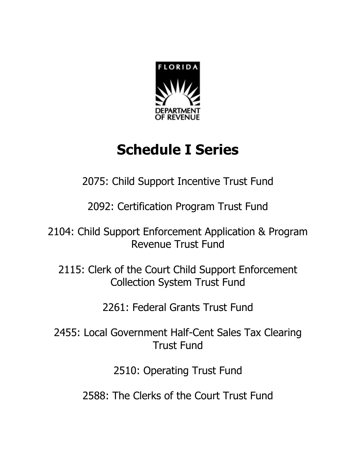

# **Schedule I Series**

2075: Child Support Incentive Trust Fund

2092: Certification Program Trust Fund

2104: Child Support Enforcement Application & Program Revenue Trust Fund

2115: Clerk of the Court Child Support Enforcement Collection System Trust Fund

2261: Federal Grants Trust Fund

2455: Local Government Half-Cent Sales Tax Clearing Trust Fund

2510: Operating Trust Fund

2588: The Clerks of the Court Trust Fund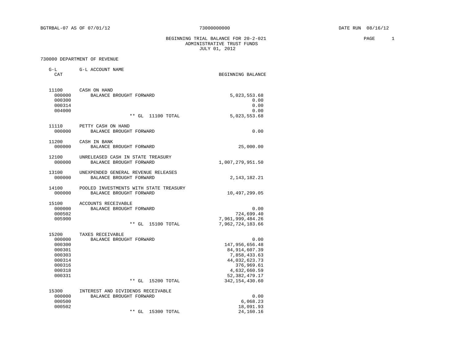BEGINNING TRIAL BALANCE FOR 20-2-021 PAGE 1 ADMINISTRATIVE TRUST FUNDS JULY 01, 2012

### 730000 DEPARTMENT OF REVENUE

G-L G-L ACCOUNT NAME

| CAT              |                                        | BEGINNING BALANCE                 |
|------------------|----------------------------------------|-----------------------------------|
| 11100            | CASH ON HAND                           |                                   |
| 000000           | BALANCE BROUGHT FORWARD                | 5,023,553.68                      |
| 000300           |                                        | 0.00                              |
| 000314           |                                        | 0.00                              |
| 004000           |                                        | 0.00                              |
|                  | $**$ GL<br>11100 TOTAL                 | 5,023,553.68                      |
| 11110            | PETTY CASH ON HAND                     |                                   |
| 000000           | BALANCE BROUGHT FORWARD                | 0.00                              |
| 11200            | CASH IN BANK                           |                                   |
| 000000           | BALANCE BROUGHT FORWARD                | 25,000.00                         |
| 12100            | UNRELEASED CASH IN STATE TREASURY      |                                   |
| 000000           | BALANCE BROUGHT FORWARD                | 1,007,279,951.50                  |
| 13100            | UNEXPENDED GENERAL REVENUE RELEASES    |                                   |
| 000000           | BALANCE BROUGHT FORWARD                | 2, 143, 182. 21                   |
| 14100            | POOLED INVESTMENTS WITH STATE TREASURY |                                   |
| 000000           | BALANCE BROUGHT FORWARD                | 10,497,299.05                     |
| 15100            | <b>ACCOUNTS RECEIVABLE</b>             |                                   |
| 000000           | BALANCE BROUGHT FORWARD                | 0.00                              |
| 000502           |                                        | 724,699.40                        |
| 005900           |                                        | 7,961,999,484.26                  |
|                  | $**$ GL<br>15100 TOTAL                 | 7,962,724,183.66                  |
| 15200            | TAXES RECEIVABLE                       |                                   |
| 000000<br>000300 | BALANCE BROUGHT FORWARD                | 0.00                              |
| 000301           |                                        | 147,956,656.48<br>84, 914, 607.39 |
| 000303           |                                        | 7,858,433.63                      |
| 000314           |                                        | 44,032,623.73                     |
| 000316           |                                        | 376,969.61                        |
| 000318           |                                        | 4,632,660.59                      |
| 000331           |                                        | 52, 382, 479. 17                  |
|                  | $**$ GL<br>15200 TOTAL                 | 342, 154, 430.60                  |
| 15300            | INTEREST AND DIVIDENDS RECEIVABLE      |                                   |
| 000000           | BALANCE BROUGHT FORWARD                | 0.00                              |
| 000500           |                                        | 6,068.23                          |
| 000502           |                                        | 18,091.93                         |
|                  | $**$ GL<br>15300 TOTAL                 | 24,160.16                         |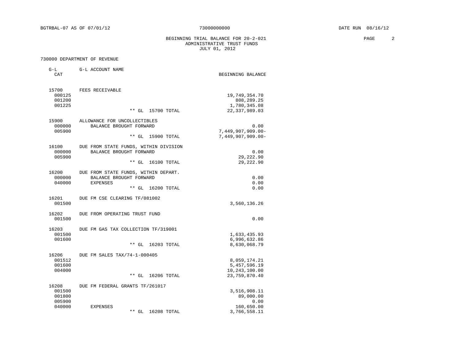BEGINNING TRIAL BALANCE FOR 20-2-021 PAGE 2 ADMINISTRATIVE TRUST FUNDS JULY 01, 2012

### 730000 DEPARTMENT OF REVENUE

G-L G-L ACCOUNT NAME

| CAT              |                                                                  | BEGINNING BALANCE               |
|------------------|------------------------------------------------------------------|---------------------------------|
| 15700<br>000125  | FEES RECEIVABLE                                                  | 19,749,354.70                   |
| 001200           |                                                                  | 808, 289. 25                    |
| 001225           | 15700 TOTAL<br>$**$ GL                                           | 1,780,345.08<br>22, 337, 989.03 |
| 15900            | ALLOWANCE FOR UNCOLLECTIBLES                                     |                                 |
| 000000           | BALANCE BROUGHT FORWARD                                          | 0.00                            |
| 005900           |                                                                  | $7,449,907,909.00 -$            |
|                  | $**$ GL<br>15900 TOTAL                                           | $7,449,907,909.00 -$            |
| 16100<br>000000  | DUE FROM STATE FUNDS, WITHIN DIVISION<br>BALANCE BROUGHT FORWARD | 0.00                            |
| 005900           |                                                                  | 29,222.90                       |
|                  | $**$ GL<br>16100 TOTAL                                           | 29, 222.90                      |
| 16200            | DUE FROM STATE FUNDS, WITHIN DEPART.                             |                                 |
| 000000           | BALANCE BROUGHT FORWARD                                          | 0.00                            |
| 040000           | <b>EXPENSES</b>                                                  | 0.00                            |
|                  | $**$ GL<br>16200 TOTAL                                           | 0.00                            |
| 16201            | DUE FM CSE CLEARING TF/081002                                    |                                 |
| 001500           |                                                                  | 3,560,136.26                    |
| 16202            | DUE FROM OPERATING TRUST FUND                                    |                                 |
| 001500           |                                                                  | 0.00                            |
| 16203            | DUE FM GAS TAX COLLECTION TF/319001                              |                                 |
| 001500           |                                                                  | 1,633,435.93                    |
| 001600           | 16203 TOTAL<br>$**$ GL                                           | 6,996,632.86<br>8,630,068.79    |
|                  |                                                                  |                                 |
| 16206<br>001512  | DUE FM SALES TAX/74-1-000405                                     |                                 |
| 001600           |                                                                  | 8,059,174.21<br>5,457,596.19    |
| 004000           |                                                                  | 10,243,100.00                   |
|                  | $**$ GL<br>16206 TOTAL                                           | 23,759,870.40                   |
| 16208            | DUE FM FEDERAL GRANTS TF/261017                                  |                                 |
| 001500           |                                                                  | 3,516,908.11                    |
| 001800           |                                                                  | 89,000.00                       |
| 005900<br>040000 | <b>EXPENSES</b>                                                  | 0.00                            |
|                  | $**$ GL<br>16208 TOTAL                                           | 160,650.00<br>3,766,558.11      |
|                  |                                                                  |                                 |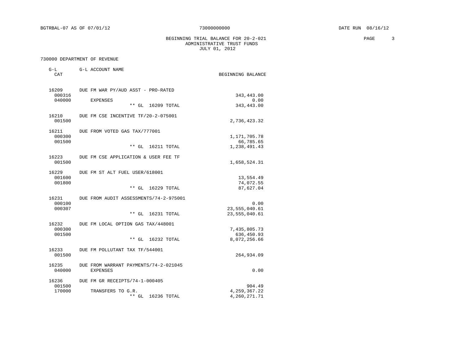### BEGINNING TRIAL BALANCE FOR  $20-2-021$  PAGE 3 ADMINISTRATIVE TRUST FUNDS JULY 01, 2012

| $G-L$<br>CAT              | G-L ACCOUNT NAME                                                                | BEGINNING BALANCE                          |
|---------------------------|---------------------------------------------------------------------------------|--------------------------------------------|
| 16209<br>000316<br>040000 | DUE FM WAR PY/AUD ASST - PRO-RATED<br><b>EXPENSES</b><br>$**$ GL<br>16209 TOTAL | 343,443.00<br>0.00<br>343,443.00           |
| 16210<br>001500           | DUE FM CSE INCENTIVE TF/20-2-075001                                             | 2,736,423.32                               |
| 16211<br>000300<br>001500 | DUE FROM VOTED GAS TAX/777001                                                   | 1,171,705.78<br>66,785.65                  |
|                           | $**$ GL<br>16211 TOTAL                                                          | 1,238,491.43                               |
| 16223<br>001500           | DUE FM CSE APPLICATION & USER FEE TF                                            | 1,658,524.31                               |
| 16229<br>001600<br>001800 | DUE FM ST ALT FUEL USER/618001<br>$**$ GL<br>16229 TOTAL                        | 13,554.49<br>74,072.55<br>87,627.04        |
| 16231<br>000100<br>000307 | DUE FROM AUDIT ASSESSMENTS/74-2-975001<br>$**$ GL<br>16231 TOTAL                | 0.00<br>23, 555, 040.61<br>23, 555, 040.61 |
| 16232<br>000300<br>001500 | DUE FM LOCAL OPTION GAS TAX/448001<br>** GL<br>16232 TOTAL                      | 7,435,805.73<br>636,450.93<br>8,072,256.66 |
| 16233<br>001500           | DUE FM POLLUTANT TAX TF/544001                                                  | 264,934.09                                 |
| 16235<br>040000           | DUE FROM WARRANT PAYMENTS/74-2-021045<br><b>EXPENSES</b>                        | 0.00                                       |
| 16236<br>001500<br>170000 | DUE FM GR RECEIPTS/74-1-000405<br>TRANSFERS TO G.R.<br>$***$ GL<br>16236 TOTAL  | 904.49<br>4, 259, 367. 22<br>4,260,271.71  |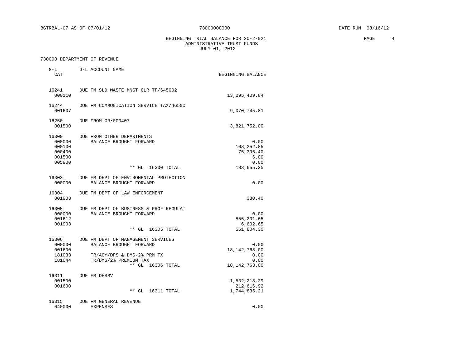BEGINNING TRIAL BALANCE FOR  $20-2-021$  PAGE 4 ADMINISTRATIVE TRUST FUNDS JULY 01, 2012

| $G-L$<br>CAT                                            | G-L ACCOUNT NAME                                                                                                                               | BEGINNING BALANCE                                          |
|---------------------------------------------------------|------------------------------------------------------------------------------------------------------------------------------------------------|------------------------------------------------------------|
| 16241<br>000110                                         | DUE FM SLD WASTE MNGT CLR TF/645002                                                                                                            | 13,095,409.84                                              |
| 16244<br>001607                                         | DUE FM COMMUNICATION SERVICE TAX/46500                                                                                                         | 9,070,745.81                                               |
| 16250<br>001500                                         | DUE FROM GR/000407                                                                                                                             | 3,821,752.00                                               |
| 16300<br>000000<br>000100<br>000400<br>001500<br>005900 | DUE FROM OTHER DEPARTMENTS<br>BALANCE BROUGHT FORWARD                                                                                          | 0.00<br>108,252.85<br>75,396.40<br>6.00<br>0.00            |
|                                                         | $**$ GL<br>16300 TOTAL                                                                                                                         | 183,655.25                                                 |
| 16303<br>000000                                         | DUE FM DEPT OF ENVIROMENTAL PROTECTION<br>BALANCE BROUGHT FORWARD                                                                              | 0.00                                                       |
| 16304<br>001903                                         | DUE FM DEPT OF LAW ENFORCEMENT                                                                                                                 | 380.40                                                     |
| 16305<br>000000<br>001612<br>001903                     | DUE FM DEPT OF BUSINESS & PROF REGULAT<br>BALANCE BROUGHT FORWARD<br>$***$ GL<br>16305 TOTAL                                                   | 0.00<br>555,201.65<br>6,602.65<br>561,804.30               |
| 16306<br>000000<br>001600<br>181033<br>181044           | DUE FM DEPT OF MANAGEMENT SERVICES<br>BALANCE BROUGHT FORWARD<br>TR/AGY/DFS & DMS-2% PRM TX<br>TR/DMS/2% PREMIUM TAX<br>$**$ GL<br>16306 TOTAL | 0.00<br>18, 142, 763.00<br>0.00<br>0.00<br>18, 142, 763.00 |
| 16311<br>001500<br>001600                               | DUE FM DHSMV<br>$***$ GL<br>16311 TOTAL                                                                                                        | 1,532,218.29<br>212,616.92<br>1,744,835.21                 |
| 16315<br>040000                                         | DUE FM GENERAL REVENUE<br><b>EXPENSES</b>                                                                                                      | 0.00                                                       |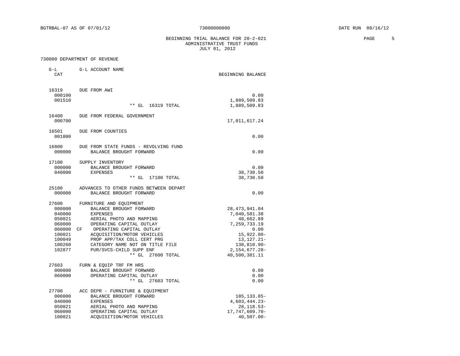### BEGINNING TRIAL BALANCE FOR  $20-2-021$  PAGE 5 ADMINISTRATIVE TRUST FUNDS JULY 01, 2012

| $G-L$<br>CAT                                                                                    | G-L ACCOUNT NAME                                                                                                                                                                                                                                                                                               | BEGINNING BALANCE                                                                                                                                           |
|-------------------------------------------------------------------------------------------------|----------------------------------------------------------------------------------------------------------------------------------------------------------------------------------------------------------------------------------------------------------------------------------------------------------------|-------------------------------------------------------------------------------------------------------------------------------------------------------------|
|                                                                                                 |                                                                                                                                                                                                                                                                                                                |                                                                                                                                                             |
| 16319<br>000100<br>001510                                                                       | DUE FROM AWI                                                                                                                                                                                                                                                                                                   | 0.00<br>1,889,509.83                                                                                                                                        |
|                                                                                                 | $**$ GL<br>16319 TOTAL                                                                                                                                                                                                                                                                                         | 1,889,509.83                                                                                                                                                |
| 16400<br>000700                                                                                 | DUE FROM FEDERAL GOVERNMENT                                                                                                                                                                                                                                                                                    | 17,011,617.24                                                                                                                                               |
| 16501<br>001800                                                                                 | DUE FROM COUNTIES                                                                                                                                                                                                                                                                                              | 0.00                                                                                                                                                        |
| 16800<br>000000                                                                                 | DUE FROM STATE FUNDS - REVOLVING FUND<br>BALANCE BROUGHT FORWARD                                                                                                                                                                                                                                               | 0.00                                                                                                                                                        |
| 17100<br>000000<br>040000                                                                       | SUPPLY INVENTORY<br>BALANCE BROUGHT FORWARD<br><b>EXPENSES</b><br>$**$ GL<br>17100 TOTAL                                                                                                                                                                                                                       | 0.00<br>38,730.50<br>38,730.50                                                                                                                              |
| 25100<br>000000                                                                                 | ADVANCES TO OTHER FUNDS BETWEEN DEPART<br>BALANCE BROUGHT FORWARD                                                                                                                                                                                                                                              | 0.00                                                                                                                                                        |
| 27600<br>000000<br>040000<br>050021<br>060000<br>060000<br>100021<br>100049<br>100260<br>102877 | FURNITURE AND EQUIPMENT<br>BALANCE BROUGHT FORWARD<br><b>EXPENSES</b><br>AERIAL PHOTO AND MAPPING<br>OPERATING CAPITAL OUTLAY<br>OPERATING CAPITAL OUTLAY<br>CF<br>ACOUISITION/MOTOR VEHICLES<br>PROP APP/TAX COLL CERT PRG<br>CATEGORY NAME NOT ON TITLE FILE<br>PUR/SVCS-CHILD SUPP ENF<br>** GL 27600 TOTAL | 28, 473, 941.04<br>7,040,581.38<br>48,662.89<br>7,259,733.19<br>0.00<br>$15,922.00 -$<br>$13, 127.21 -$<br>138,810.90-<br>2, 154, 677. 28-<br>40,500,381.11 |
| 27603<br>000000<br>060000                                                                       | FURN & EQUIP TRF FM HRS<br>BALANCE BROUGHT FORWARD<br>OPERATING CAPITAL OUTLAY<br>** GL 27603 TOTAL                                                                                                                                                                                                            | 0.00<br>0.00<br>0.00                                                                                                                                        |
| 27700<br>000000<br>040000<br>050021<br>060000<br>100021                                         | ACC DEPR - FURNITURE & EQUIPMENT<br>BALANCE BROUGHT FORWARD<br><b>EXPENSES</b><br>AERIAL PHOTO AND MAPPING<br>OPERATING CAPITAL OUTLAY<br>ACQUISITION/MOTOR VEHICLES                                                                                                                                           | 185, 133.85-<br>$4,603,444.23-$<br>28, 118. 53-<br>17, 747, 609. 70-<br>$40,507.00 -$                                                                       |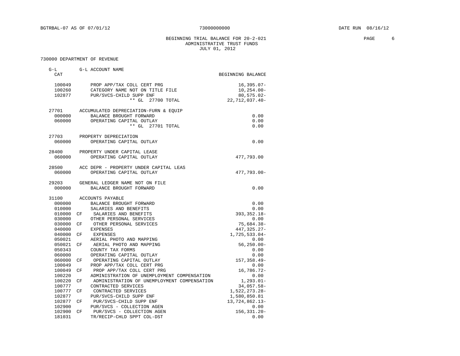### BEGINNING TRIAL BALANCE FOR  $20-2-021$  PAGE 6 ADMINISTRATIVE TRUST FUNDS JULY 01, 2012

| $G-L$            | G-L ACCOUNT NAME                                  |                       |
|------------------|---------------------------------------------------|-----------------------|
| CAT              |                                                   | BEGINNING BALANCE     |
| 100049           | PROP APP/TAX COLL CERT PRG                        | $16, 395.07 -$        |
| 100260           | CATEGORY NAME NOT ON TITLE FILE                   | $10, 254.00 -$        |
| 102877           | PUR/SVCS-CHILD SUPP ENF                           | $80, 575.02 -$        |
|                  | $**$ GL<br>27700 TOTAL                            | 22, 712, 037.40-      |
| 27701            | ACCUMULATED DEPRECIATION-FURN & EQUIP             |                       |
| 000000           | BALANCE BROUGHT FORWARD                           | 0.00                  |
| 060000           | OPERATING CAPITAL OUTLAY                          | 0.00                  |
|                  | ** GL 27701 TOTAL                                 | 0.00                  |
| 27703            | PROPERTY DEPRECIATION                             |                       |
| 060000           | OPERATING CAPITAL OUTLAY                          | 0.00                  |
| 28400            | PROPERTY UNDER CAPITAL LEASE                      |                       |
| 060000           | OPERATING CAPITAL OUTLAY                          | 477,793.00            |
| 28500            | ACC DEPR - PROPERTY UNDER CAPITAL LEAS            |                       |
| 060000           | OPERATING CAPITAL OUTLAY                          | 477,793.00-           |
|                  |                                                   |                       |
| 29203            | GENERAL LEDGER NAME NOT ON FILE                   |                       |
| 000000           | BALANCE BROUGHT FORWARD                           | 0.00                  |
| 31100            | ACCOUNTS PAYABLE                                  |                       |
| 000000           | BALANCE BROUGHT FORWARD                           | 0.00                  |
| 010000           | SALARIES AND BENEFITS                             | 0.00                  |
| 010000           | SALARIES AND BENEFITS<br>CF                       | 393, 352. 18-         |
| 030000           | OTHER PERSONAL SERVICES                           | 0.00                  |
| 030000           | OTHER PERSONAL SERVICES<br>CF                     | $75,684.38 -$         |
| 040000           | <b>EXPENSES</b>                                   | 447,325.27-           |
| 040000           | EXPENSES<br>CF                                    | 1,725,533.04-         |
| 050021           | AERIAL PHOTO AND MAPPING                          | 0.00                  |
| 050021           | AERIAL PHOTO AND MAPPING<br>СF                    | $56, 250.00 -$        |
| 050343           | COUNTY TAX FORMS                                  | 0.00                  |
| 060000           | OPERATING CAPITAL OUTLAY                          | 0.00                  |
| 060000           | OPERATING CAPITAL OUTLAY<br>CF                    | $157, 358.49 -$       |
| 100049           | PROP APP/TAX COLL CERT PRG                        | 0.00                  |
| 100049           | PROP APP/TAX COLL CERT PRG<br>CF                  | $16,786.72-$          |
| 100220           | ADMINISTRATION OF UNEMPLOYMENT COMPENSATION       | 0.00                  |
| 100220           | ADMINISTRATION OF UNEMPLOYMENT COMPENSATION<br>CF | $1, 293.01 -$         |
| 100777           | CONTRACTED SERVICES                               | 34,057.58-            |
| 100777           | CF<br>CONTRACTED SERVICES                         | 1,522,273.28-         |
| 102877           | PUR/SVCS-CHILD SUPP ENF                           | 1,580,850.81          |
| 102877           | PUR/SVCS-CHILD SUPP ENF<br>CF                     | 13,724,862.13-        |
| 102900<br>102900 | PUR/SVCS - COLLECTION AGEN<br>CF                  | 0.00<br>156, 331. 20- |
| 181031           | PUR/SVCS - COLLECTION AGEN                        |                       |
|                  | TR/RECIP-CHLD SPPT COL-DST                        | 0.00                  |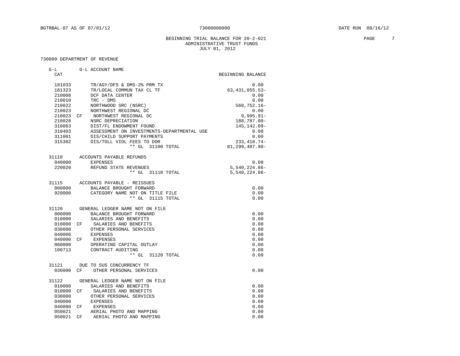### BEGINNING TRIAL BALANCE FOR 20-2-021 PAGE 7 ADMINISTRATIVE TRUST FUNDS JULY 01, 2012

| $G-L$      | G-L ACCOUNT NAME                           |                   |
|------------|--------------------------------------------|-------------------|
| CAT        |                                            | BEGINNING BALANCE |
| 181033     | TR/AGY/DFS & DMS-2% PRM TX                 | 0.00              |
| 181323     | TR/LOCAL COMMUN TAX CL TF                  | 63, 431, 055.53-  |
| 210008     | DCF DATA CENTER                            | 0.00              |
| 210010     | TRC - DMS                                  | 0.00              |
| 210022     | NORTHWOOD SRC (NSRC)                       | $560, 752.16 -$   |
| 210023     | NORTHWEST REGIONAL DC                      | 0.00              |
| 210023 CF  | NORTHWEST REGIONAL DC                      | $9,995.91 -$      |
| 210028     | NSRC DEPRECIATION                          | 188,787.00-       |
| 310063     | DIST/FL ENDOWMENT FOUND                    | 145, 142.09-      |
| 310403     | ASSESSMENT ON INVESTMENTS-DEPARTMENTAL USE | 0.00              |
| 311001     | DIS/CHILD SUPPORT PAYMENTS                 | 0.00              |
| 315302     | DIS/TOLL VIOL FEES TO DOR                  | $233, 418.74-$    |
|            | ** GL 31100 TOTAL                          | 81,299,407.90-    |
|            |                                            |                   |
|            | 31110 ACCOUNTS PAYABLE REFUNDS             |                   |
| 040000     | EXPENSES                                   | 0.00              |
| 220020     | REFUND STATE REVENUES                      | $5.540.224.86 -$  |
|            | ** GL 31110 TOTAL                          | $5,540,224.86-$   |
|            | 31115 ACCOUNTS PAYABLE - REISSUES          |                   |
| 000000     | BALANCE BROUGHT FORWARD                    | 0.00              |
|            | 920000 CATEGORY NAME NOT ON TITLE FILE     | 0.00              |
|            | ** GL 31115 TOTAL                          | 0.00              |
| 31120      | GENERAL LEDGER NAME NOT ON FILE            |                   |
| 000000     | BALANCE BROUGHT FORWARD                    | 0.00              |
| 010000     | SALARIES AND BENEFITS                      | 0.00              |
| 010000 CF  | SALARIES AND BENEFITS                      | 0.00              |
| 030000     | OTHER PERSONAL SERVICES                    | 0.00              |
| 040000     | EXPENSES                                   | 0.00              |
| 040000 CF  | EXPENSES                                   | 0.00              |
| 060000     | OPERATING CAPITAL OUTLAY                   | 0.00              |
| 100713     | CONTRACT AUDITING                          | 0.00              |
|            | ** GL 31120 TOTAL                          | 0.00              |
| 31121      | DUE TO SUS CONCURRENCY TF                  |                   |
| 0.30000 CF | OTHER PERSONAL SERVICES                    | 0.00              |
|            |                                            |                   |
|            | 31122 GENERAL LEDGER NAME NOT ON FILE      |                   |
| 010000     | SALARIES AND BENEFITS                      | 0.00              |
| 010000 CF  | SALARIES AND BENEFITS                      | 0.00              |
| 030000     | OTHER PERSONAL SERVICES                    | 0.00              |
| 040000     | EXPENSES                                   | 0.00              |
| 040000 CF  | EXPENSES                                   | 0.00              |
| 050021     | AERIAL PHOTO AND MAPPING                   | 0.00              |
| 050021     | AERIAL PHOTO AND MAPPING<br>CF             | 0.00              |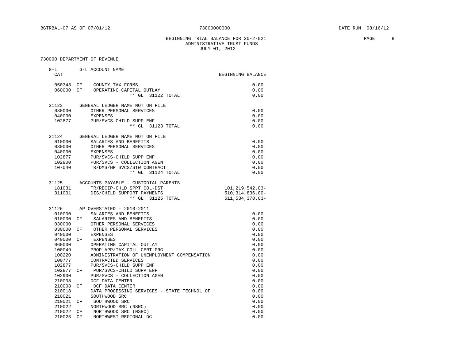### BEGINNING TRIAL BALANCE FOR  $20-2-021$  PAGE 9 ADMINISTRATIVE TRUST FUNDS JULY 01, 2012

| $G-L$  |          | G-L ACCOUNT NAME                                |                                           |
|--------|----------|-------------------------------------------------|-------------------------------------------|
| CAT    |          |                                                 | BEGINNING BALANCE                         |
| 050343 | $\rm CF$ | COUNTY TAX FORMS                                | 0.00                                      |
| 060000 | CF       | OPERATING CAPITAL OUTLAY                        | 0.00                                      |
|        |          | $***$ GL<br>31122 TOTAL                         | 0.00                                      |
|        |          |                                                 |                                           |
| 31123  |          | GENERAL LEDGER NAME NOT ON FILE                 |                                           |
| 030000 |          | OTHER PERSONAL SERVICES                         | 0.00                                      |
| 040000 |          | <b>EXPENSES</b>                                 | 0.00                                      |
| 102877 |          | PUR/SVCS-CHILD SUPP ENF                         | 0.00                                      |
|        |          | ** GL 31123 TOTAL                               | 0.00                                      |
| 31124  |          | GENERAL LEDGER NAME NOT ON FILE                 |                                           |
| 010000 |          | SALARIES AND BENEFITS                           | 0.00                                      |
| 030000 |          | OTHER PERSONAL SERVICES                         | 0.00                                      |
| 040000 |          | <b>EXPENSES</b>                                 | 0.00                                      |
| 102877 |          | PUR/SVCS-CHILD SUPP ENF                         | 0.00                                      |
| 102900 |          | PUR/SVCS - COLLECTION AGEN                      | 0.00                                      |
| 107040 |          | TR/DMS/HR SVCS/STW CONTRACT                     | 0.00                                      |
|        |          | ** GL 31124 TOTAL                               | 0.00                                      |
|        |          |                                                 |                                           |
| 31125  |          | ACCOUNTS PAYABLE - CUSTODIAL PARENTS            |                                           |
| 181031 |          | TR/RECIP-CHLD SPPT COL-DST                      | 101, 219, 542.03-                         |
| 311001 |          | DIS/CHILD SUPPORT PAYMENTS<br>** GL 31125 TOTAL | $510, 314, 836.00 -$<br>611, 534, 378.03- |
|        |          |                                                 |                                           |
| 31126  |          | AP OVERSTATED - 2010-2011                       |                                           |
| 010000 |          | SALARIES AND BENEFITS                           | 0.00                                      |
| 010000 | CF       | SALARIES AND BENEFITS                           | 0.00                                      |
| 030000 |          | OTHER PERSONAL SERVICES                         | 0.00                                      |
| 030000 | CF       | OTHER PERSONAL SERVICES                         | 0.00                                      |
| 040000 |          | EXPENSES                                        | 0.00                                      |
| 040000 | CF       | EXPENSES                                        | 0.00                                      |
| 060000 |          | OPERATING CAPITAL OUTLAY                        | 0.00                                      |
| 100049 |          | PROP APP/TAX COLL CERT PRG                      | 0.00                                      |
| 100220 |          | ADMINISTRATION OF UNEMPLOYMENT COMPENSATION     | 0.00                                      |
| 100777 |          | CONTRACTED SERVICES                             | 0.00                                      |
| 102877 |          | PUR/SVCS-CHILD SUPP ENF                         | 0.00                                      |
| 102877 | CF       | PUR/SVCS-CHILD SUPP ENF                         | 0.00                                      |
| 102900 |          | PUR/SVCS - COLLECTION AGEN                      | 0.00                                      |
| 210008 |          | DCF DATA CENTER                                 | 0.00                                      |
| 210008 | СF       | DCF DATA CENTER                                 | 0.00                                      |
| 210018 |          | DATA PROCESSING SERVICES - STATE TECHNOL OF     | 0.00                                      |
| 210021 |          | SOUTHWOOD SRC                                   | 0.00                                      |
| 210021 | CF       | SOUTHWOOD SRC                                   | 0.00                                      |
| 210022 |          | NORTHWOOD SRC (NSRC)                            | 0.00                                      |
| 210022 | CF       | NORTHWOOD SRC (NSRC)                            | 0.00                                      |
| 210023 | CF       | NORTHWEST REGIONAL DC                           | 0.00                                      |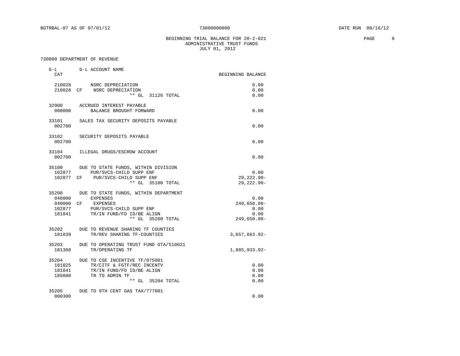### BEGINNING TRIAL BALANCE FOR  $20-2-021$  PAGE 9 ADMINISTRATIVE TRUST FUNDS JULY 01, 2012

| G-L<br>CAT                          | G-L ACCOUNT NAME                                                                                                                                                         | BEGINNING BALANCE                                     |
|-------------------------------------|--------------------------------------------------------------------------------------------------------------------------------------------------------------------------|-------------------------------------------------------|
| 210028                              | NSRC DEPRECIATION<br>210028 CF NSRC DEPRECIATION<br>** GL 31126 TOTAL                                                                                                    | 0.00<br>0.00<br>0.00                                  |
| 000000                              | 32900 ACCRUED INTEREST PAYABLE<br>BALANCE BROUGHT FORWARD                                                                                                                | 0.00                                                  |
| 33101<br>002700                     | SALES TAX SECURITY DEPOSITS PAYABLE                                                                                                                                      | 0.00                                                  |
| 33102<br>002700                     | SECURITY DEPOSITS PAYABLE                                                                                                                                                | 0.00                                                  |
| 33104<br>002700                     | ILLEGAL DRUGS/ESCROW ACCOUNT                                                                                                                                             | 0.00                                                  |
| 102877                              | 35100 DUE TO STATE FUNDS, WITHIN DIVISION<br>PUR/SVCS-CHILD SUPP ENF<br>102877 CF PUR/SVCS-CHILD SUPP ENF<br>** GL 35100 TOTAL                                           | 0.00<br>$29, 222.90 -$<br>$29,222.90 -$               |
| 040000<br>181041                    | 35200 DUE TO STATE FUNDS, WITHIN DEPARTMENT<br><b>EXPENSES</b><br>040000 CF EXPENSES<br>102877 PUR/SVCS-CHILD SUPP ENF<br>TR/IN FUND/FD ID/BE ALIGN<br>** GL 35200 TOTAL | 0.00<br>$249,650.00 -$<br>0.00<br>0.00<br>249,650.00- |
| 181039                              | 35202 DUE TO REVENUE SHARING TF COUNTIES<br>TR/REV SHARING TF-COUNTIES                                                                                                   | 3,657,663.92-                                         |
| 35203<br>181368                     | DUE TO OPERATING TRUST FUND GTA/510021<br>TR/OPERATING TF                                                                                                                | 1,885,933.92-                                         |
| 35204<br>181025<br>181041<br>185080 | DUE TO CSE INCENTIVE TF/075001<br>TR/CITF & FGTF/REC INCENTV<br>TR/IN FUND/FD ID/BE ALIGN<br>TR TO ADMIN TF<br>** GL 35204 TOTAL                                         | 0.00<br>0.00<br>0.00<br>0.00                          |
| 35205<br>000300                     | DUE TO 9TH CENT GAS TAX/777001                                                                                                                                           | 0.00                                                  |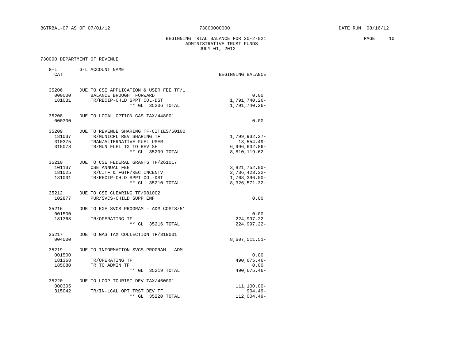BEGINNING TRIAL BALANCE FOR 20-2-021 PAGE 10 ADMINISTRATIVE TRUST FUNDS JULY 01, 2012

| $G-L$<br>CAT                        | G-L ACCOUNT NAME                                                                                                                                   | BEGINNING BALANCE                                                        |
|-------------------------------------|----------------------------------------------------------------------------------------------------------------------------------------------------|--------------------------------------------------------------------------|
| 35206<br>000000<br>181031           | DUE TO CSE APPLICATION & USER FEE TF/1<br>BALANCE BROUGHT FORWARD<br>TR/RECIP-CHLD SPPT COL-DST<br>** GL 35206 TOTAL                               | 0.00<br>1,791,740.26-<br>1,791,740.26-                                   |
| 35208<br>000300                     | DUE TO LOCAL OPTION GAS TAX/448001                                                                                                                 | 0.00                                                                     |
| 35209<br>181037<br>310375<br>315078 | DUE TO REVENUE SHARING TF-CITIES/50100<br>TR/MUNICPL REV SHARING TF<br>TRAN/ALTERNATIVE FUEL USER<br>TR/MUN FUEL TX TO REV SH<br>** GL 35209 TOTAL | 1,799,932.27-<br>13,554.49-<br>$6,996,632.86-$<br>8,810,119.62-          |
| 35210<br>101137<br>181025<br>181031 | DUE TO CSE FEDERAL GRANTS TF/261017<br>CSE ANNUAL FEE<br>TR/CITF & FGTF/REC INCENTV<br>TR/RECIP-CHLD SPPT COL-DST<br>** GL 35210 TOTAL             | 3,821,752.00-<br>$2,736,423.32-$<br>$1,768,396.00 -$<br>8, 326, 571. 32- |
| 35212<br>102877                     | DUE TO CSE CLEARING TF/081002<br>PUR/SVCS-CHILD SUPP ENF                                                                                           | 0.00                                                                     |
| 35216<br>001500<br>181368           | DUE TO EXE SVCS PROGRAM - ADM COSTS/51<br>TR/OPERATING TF<br>** GL 35216 TOTAL                                                                     | 0.00<br>224,997.22-<br>224,997.22-                                       |
| 35217<br>004000                     | DUE TO GAS TAX COLLECTION TF/319001                                                                                                                | 8,607,511.51-                                                            |
| 35219<br>001500<br>181368<br>185080 | DUE TO INFORMATION SVCS PROGRAM - ADM<br>TR/OPERATING TF<br>TR TO ADMIN TF<br>** GL 35219 TOTAL                                                    | 0.00<br>490,675.46-<br>0.00<br>490,675.46-                               |
| 35220<br>000305<br>315042           | DUE TO LOOP TOURIST DEV TAX/460001<br>TR/IN-LCAL OPT TRST DEV TF<br>** GL<br>35220 TOTAL                                                           | $111, 100.00 -$<br>$904.49 -$<br>112,004.49-                             |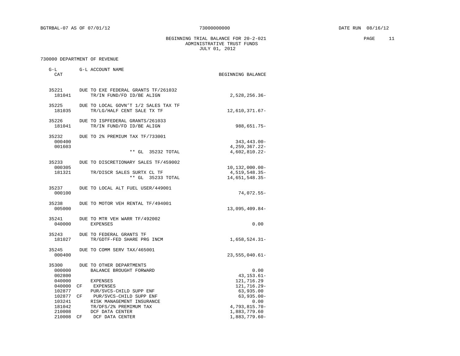BEGINNING TRIAL BALANCE FOR 20-2-021 PAGE 11 ADMINISTRATIVE TRUST FUNDS JULY 01, 2012

|    | $G-L$<br>CAT                        |           | G-L ACCOUNT NAME                                                               | BEGINNING BALANCE                                      |                  |
|----|-------------------------------------|-----------|--------------------------------------------------------------------------------|--------------------------------------------------------|------------------|
|    | 35221<br>181041                     |           | DUE TO EXE FEDERAL GRANTS TF/261032<br>TR/IN FUND/FD ID/BE ALIGN               | $2,528,256.36-$                                        |                  |
| þÿ | 181035                              | 3 5 2 2 5 | DUE TO LOCAL GOVN'T 1/2ŸÝ<br>TR/LG/HALF CENT SALE TX TF                        | 12,610,371.67-                                         | SALES TAX<br>T F |
|    | 35226<br>181041                     |           | DUE TO ISPFEDERAL GRANTS/261033<br>TR/IN FUND/FD ID/BE ALIGN                   | $988,651.75-$                                          |                  |
|    | 35232<br>000400                     |           | DUE TO 2% PREMIUM TAX TF/733001                                                | $343, 443.00 -$                                        |                  |
|    | 001603                              |           | ** GL 35232 TOTAL                                                              | $4, 259, 367.22 -$<br>4,602,810.22-                    |                  |
|    | 35233                               |           | DUE TO DISCRETIONARY SALES TF/459002                                           |                                                        |                  |
|    | 000305<br>181321                    |           | TR/DISCR SALES SURTX CL TF<br>** GL 35233 TOTAL                                | $10, 132, 000.00 -$<br>4,519,548.35-<br>14,651,548.35- |                  |
|    | 35237<br>000100                     |           | DUE TO LOCAL ALT FUEL USER/449001                                              | 74,072.55-                                             |                  |
|    | 35238<br>005000                     |           | DUE TO MOTOR VEH RENTAL TF/494001                                              | $13,095,409.84-$                                       |                  |
|    | 35241<br>040000                     |           | DUE TO MTR VEH WARR TF/492002<br><b>EXPENSES</b>                               | 0.00                                                   |                  |
|    | 35243<br>181027                     |           | DUE TO FEDERAL GRANTS TF<br>TR/GDTF-FED SHARE PRG INCM                         | $1,658,524.31-$                                        |                  |
|    | 35245<br>000400                     |           | DUE TO COMM SERV TAX/465001                                                    | $23,555,040.61-$                                       |                  |
|    | 35300<br>000000<br>002800<br>040000 |           | DUE TO OTHER DEPARTMENTS<br>BALANCE BROUGHT FORWARD<br><b>EXPENSES</b>         | 0.00<br>$43, 153.61 -$<br>121,716.29                   |                  |
|    | 040000<br>102877                    | CF        | EXPENSES<br>PUR/SVCS-CHILD SUPP ENF                                            | 121,716.29-<br>63,935.00                               |                  |
|    | 102877 CF<br>103241<br>181042       |           | PUR/SVCS-CHILD SUPP ENF<br>RISK MANAGEMENT INSURANCE<br>TR/DFS/2% PREMIMUM TAX | $63,935.00 -$<br>0.00<br>$4,793,815.70-$               |                  |
|    | 210008<br>210008 CF                 |           | DCF DATA CENTER<br>DCF DATA CENTER                                             | 1,883,779.60<br>$1,883,779.60-$                        |                  |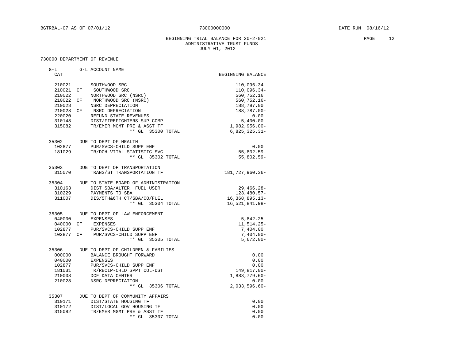BEGINNING TRIAL BALANCE FOR  $20-2-021$  PAGE 12 ADMINISTRATIVE TRUST FUNDS JULY 01, 2012

| $G-L$            | G-L ACCOUNT NAME                                        |                          |
|------------------|---------------------------------------------------------|--------------------------|
| CAT              |                                                         | BEGINNING BALANCE        |
| 210021           | SOUTHWOOD SRC                                           | 110,096.34               |
| 210021 CF        | SOUTHWOOD SRC                                           | 110,096.34-              |
| 210022           | NORTHWOOD SRC (NSRC)                                    | 560,752.16               |
| 210022 CF        | NORTHWOOD SRC (NSRC)                                    | 560,752.16-              |
| 210028           | NSRC DEPRECIATION                                       | 188,787.00               |
| 210028 CF        | NSRC DEPRECIATION                                       | 188,787.00-              |
| 220020           | REFUND STATE REVENUES                                   | 0.00                     |
| 310148           | DIST/FIREFIGHTERS SUP COMP                              | $5,400.00-$              |
| 315082           | TR/EMER MGMT PRE & ASST TF                              | $1,982,956.00 -$         |
|                  | ** GL 35300 TOTAL                                       | $6,825,325.31-$          |
| 35302            | DUE TO DEPT OF HEALTH                                   |                          |
| 102877           | PUR/SVCS-CHILD SUPP ENF                                 | 0.00                     |
| 181029           | TR/DOH-VITAL STATISTIC SVC                              | $55,802.59 -$            |
|                  | ** GL 35302 TOTAL                                       | $55,802.59 -$            |
|                  | 35303 DUE TO DEPT OF TRANSPORTATION                     |                          |
| 315070           | TRANS/ST TRANSPORTATION TF                              | 181,727,960.36-          |
| 35304            | DUE TO STATE BOARD OF ADMINISTRATION                    |                          |
| 310163           | DIST SBA/ALTER. FUEL USER                               | $29,466.28-$             |
| 310229           | PAYMENTS TO SBA                                         | $123, 480.57 -$          |
| 311007           | DIS/5TH&6TH CT/SBA/CO/FUEL                              | $16,368,895.13-$         |
|                  | ** GL 35304 TOTAL                                       | 16,521,841.98-           |
| 35305            | DUE TO DEPT OF LAW ENFORCEMENT                          |                          |
| 040000           | <b>EXPENSES</b>                                         | 5,842.25                 |
| 040000 CF        | EXPENSES                                                | 11,514.25-               |
| 102877           | PUR/SVCS-CHILD SUPP ENF                                 | 7,404.00                 |
| 102877 CF        | PUR/SVCS-CHILD SUPP ENF                                 | $7,404.00 -$             |
|                  | ** GL 35305 TOTAL                                       | $5,672.00 -$             |
| 35306            | DUE TO DEPT OF CHILDREN & FAMILIES                      |                          |
| 000000           | BALANCE BROUGHT FORWARD                                 | 0.00                     |
| 040000           | <b>EXPENSES</b>                                         | 0.00                     |
| 102877           | PUR/SVCS-CHILD SUPP ENF                                 | 0.00                     |
| 181031           | TR/RECIP-CHLD SPPT COL-DST                              | 149,817.00-              |
| 210008           | DCF DATA CENTER                                         | 1,883,779.60-            |
| 210028           | NSRC DEPRECIATION<br>** GL 35306 TOTAL                  | 0.00<br>$2,033,596.60 -$ |
|                  |                                                         |                          |
|                  | 35307 DUE TO DEPT OF COMMUNITY AFFAIRS                  |                          |
| 310171           | DIST/STATE HOUSING TF                                   | 0.00                     |
| 310172<br>315082 | DIST/LOCAL GOV HOUSING TF<br>TR/EMER MGMT PRE & ASST TF | 0.00<br>0.00             |
|                  | ** GL 35307 TOTAL                                       | 0.00                     |
|                  |                                                         |                          |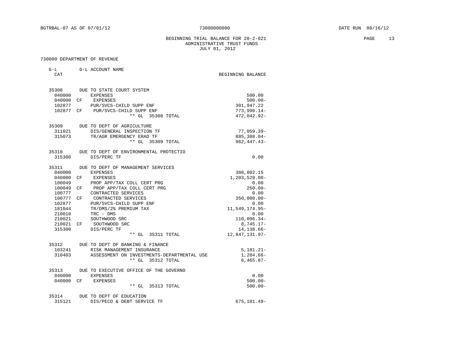BEGINNING TRIAL BALANCE FOR  $20-2-021$  PAGE 13 ADMINISTRATIVE TRUST FUNDS JULY 01, 2012

| $G-L$     | G-L ACCOUNT NAME                           |                            |            |
|-----------|--------------------------------------------|----------------------------|------------|
| CAT       |                                            | BEGINNING BALANCE          |            |
|           | 35308 DUE TO STATE COURT SYSTEM            |                            |            |
| 040000    | <b>EXPENSES</b>                            |                            | 500.00     |
|           | 040000 CF EXPENSES                         |                            | $500.00 -$ |
| 102877    | PUR/SVCS-CHILD SUPP ENF                    | 301,947.22                 |            |
| 102877 CF | PUR/SVCS-CHILD SUPP ENF                    | $773,990.14-$              |            |
|           | ** GL 35308 TOTAL                          | 472,042.92-                |            |
|           | 35309 DUE TO DEPT OF AGRICULTURE           |                            |            |
| 311021    | DIS/GENERAL INSPECTION TF                  | 77,059.39-                 |            |
| 315073    | TR/AGR EMERGENCY ERAD TF                   | 885, 388.04-               |            |
|           | ** GL 35309 TOTAL                          | $962, 447.43 -$            |            |
| 35310     | DUE TO DEPT OF ENVIRONMENTAL PROTECTIO     |                            |            |
| 315300    | DIS/PERC TF                                |                            | 0.00       |
| 35311     | DUE TO DEPT OF MANAGEMENT SERVICES         |                            |            |
| 040000    | <b>EXPENSES</b>                            | 388,802.15                 |            |
| 040000 CF | EXPENSES                                   | $1, 203, 529.00 -$         |            |
| 100049    | PROP APP/TAX COLL CERT PRG                 |                            | 0.00       |
| 100049 CF | PROP APP/TAX COLL CERT PRG                 |                            | $250.00 -$ |
| 100777    | CONTRACTED SERVICES                        |                            | 0.00       |
| 100777 CF | CONTRACTED SERVICES                        | $350,000.00 -$             |            |
| 102877    | PUR/SVCS-CHILD SUPP ENF                    |                            | 0.00       |
| 181044    | TR/DMS/2% PREMIUM TAX                      | 11,549,174.95-             |            |
| 210010    | TRC - DMS                                  | 110,096.34-                | 0.00       |
| 210021    | SOUTHWOOD SRC<br>210021 CF SOUTHWOOD SRC   |                            |            |
| 315300    | DIS/PERC TF                                | $8,745.17-$<br>14, 138.66- |            |
|           | ** GL 35311 TOTAL                          | 12,847,131.97-             |            |
|           | 35312 DUE TO DEPT OF BANKING & FINANCE     |                            |            |
| 103241    | RISK MANAGEMENT INSURANCE                  | $5,181.21-$                |            |
| 310403    | ASSESSMENT ON INVESTMENTS-DEPARTMENTAL USE | 1,284.66-                  |            |
|           | ** GL 35312 TOTAL                          | $6,465.87-$                |            |
| 35313     | DUE TO EXECUTIVE OFFICE OF THE GOVERNO     |                            |            |
| 040000    | <b>EXPENSES</b>                            |                            | 0.00       |
|           | 040000 CF EXPENSES                         |                            | $500.00 -$ |
|           | ** GL 35313 TOTAL                          |                            | $500.00 -$ |
| 35314     | DUE TO DEPT OF EDUCATION                   |                            |            |
| 315121    | DIS/PECO & DEBT SERVICE TF                 | 675,101.49-                |            |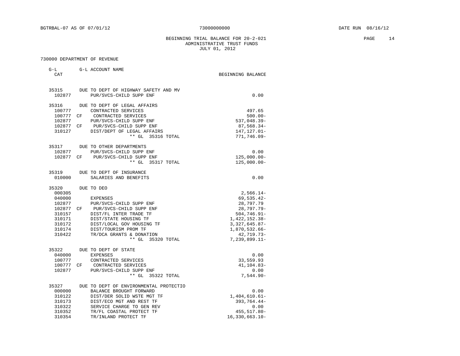BEGINNING TRIAL BALANCE FOR 20-2-021 PAGE 14 ADMINISTRATIVE TRUST FUNDS JULY 01, 2012

| $G-L$<br>CAT    | G-L ACCOUNT NAME                                                | BEGINNING BALANCE             |
|-----------------|-----------------------------------------------------------------|-------------------------------|
| 35315<br>102877 | DUE TO DEPT OF HIGHWAY SAFETY AND MV<br>PUR/SVCS-CHILD SUPP ENF | 0.00                          |
| 35316           | DUE TO DEPT OF LEGAL AFFAIRS                                    |                               |
| 100777          | CONTRACTED SERVICES                                             | 497.65                        |
| 100777 CF       | CONTRACTED SERVICES                                             | $500.00 -$                    |
| 102877          | PUR/SVCS-CHILD SUPP ENF                                         | $537,048.39-$                 |
| 102877 CF       | PUR/SVCS-CHILD SUPP ENF                                         | 87,568.34-                    |
| 310127          | DIST/DEPT OF LEGAL AFFAIRS                                      | 147, 127.01-                  |
|                 | ** GL 35316 TOTAL                                               | 771,746.09-                   |
| 35317           | DUE TO OTHER DEPARTMENTS                                        |                               |
| 102877          | PUR/SVCS-CHILD SUPP ENF                                         | 0.00                          |
| 102877 CF       | PUR/SVCS-CHILD SUPP ENF                                         | $125,000.00 -$                |
|                 | ** GL<br>35317 TOTAL                                            | $125,000.00-$                 |
| 35319           | DUE TO DEPT OF INSURANCE                                        |                               |
| 010000          | SALARIES AND BENEFITS                                           | 0.00                          |
| 35320           | DUE TO DEO                                                      |                               |
| 000305          |                                                                 | $2,566.14-$                   |
| 040000          | EXPENSES                                                        | 69,535.42-                    |
| 102877          | PUR/SVCS-CHILD SUPP ENF                                         | 28,797.79                     |
| 102877 CF       | PUR/SVCS-CHILD SUPP ENF                                         | $28,797.79 -$                 |
| 310157          | DIST/FL INTER TRADE TF                                          | $504,746.91 -$                |
| 310171          | DIST/STATE HOUSING TF                                           | 1,422,152.38-                 |
| 310172          | DIST/LOCAL GOV HOUSING TF                                       | $3,327,645.87-$               |
| 310174          | DIST/TOURISM PROM TF                                            | 1,870,532.66-                 |
| 310422          | TR/DCA GRANTS & DONATION<br>** GL 35320 TOTAL                   | 42,719.73-<br>$7,239,899.11-$ |
|                 |                                                                 |                               |
| 35322<br>040000 | DUE TO DEPT OF STATE<br>EXPENSES                                | 0.00                          |
| 100777          | CONTRACTED SERVICES                                             | 33,559.93                     |
| 100777 CF       | CONTRACTED SERVICES                                             | 41, 104.83-                   |
| 102877          | PUR/SVCS-CHILD SUPP ENF                                         | 0.00                          |
|                 | ** GL 35322 TOTAL                                               | $7,544.90 -$                  |
| 35327           | DUE TO DEPT OF ENVIRONMENTAL PROTECTIO                          |                               |
| 000000          | BALANCE BROUGHT FORWARD                                         | 0.00                          |
| 310122          | DIST/DER SOLID WSTE MGT TF                                      | $1,404,610.61-$               |
| 310173          | DIST/ECO MGT AND REST TF                                        | 393,764.44-                   |
| 310322          | SERVICE CHARGE TO GEN REV                                       | 0.00                          |
| 310352          | TR/FL COASTAL PROTECT TF                                        | 455,517.80-                   |
| 310354          | TR/INLAND PROTECT TF                                            | $16,330,663.10 -$             |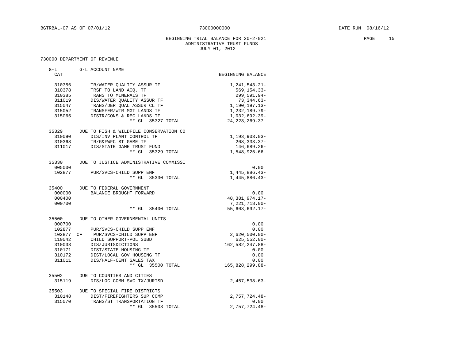### BEGINNING TRIAL BALANCE FOR  $20-2-021$  PAGE 15 ADMINISTRATIVE TRUST FUNDS JULY 01, 2012

| $G-L$<br>CAT                                                       | G-L ACCOUNT NAME                                                                                                                                                                                                     | BEGINNING BALANCE                                                                                                                            |
|--------------------------------------------------------------------|----------------------------------------------------------------------------------------------------------------------------------------------------------------------------------------------------------------------|----------------------------------------------------------------------------------------------------------------------------------------------|
| 310356<br>310378<br>310385<br>311019<br>315047<br>315052<br>315065 | TR/WATER OUALITY ASSUR TF<br>TRSF TO LAND ACQ. TF<br>TRANS TO MINERALS TF<br>DIS/WATER QUALITY ASSUR TF<br>TRANS/DER QUAL ASSUR CL TF<br>TRANSFER/WTR MGT LANDS TF<br>DISTR/CONS & REC LANDS TF<br>** GL 35327 TOTAL | 1, 241, 543. 21-<br>$569, 154.33 -$<br>299,591.94-<br>$73,344.63-$<br>1,190,197.13-<br>1,232,189.79-<br>1,032,692.39-<br>$24, 223, 269.37 -$ |
| 35329<br>310090<br>310368<br>311017                                | DUE TO FISH & WILDFILE CONSERVATION CO<br>DIS/INV PLANT CONTROL TF<br>TR/G&FWFC ST GAME TF<br>DIS/STATE GAME TRUST FUND<br>** GL 35329 TOTAL                                                                         | $1, 193, 903.03 -$<br>$208, 333.37 -$<br>146,689.26-<br>$1,548,925.66-$                                                                      |
| 35330<br>005000<br>102877                                          | DUE TO JUSTICE ADMINISTRATIVE COMMISSI<br>PUR/SVCS-CHILD SUPP ENF<br>** GL 35330 TOTAL                                                                                                                               | 0.00<br>$1,445,886.43-$<br>$1,445,886.43-$                                                                                                   |
| 35400<br>000000<br>000400<br>000700                                | DUE TO FEDERAL GOVERNMENT<br>BALANCE BROUGHT FORWARD<br>** GL<br>35400 TOTAL                                                                                                                                         | 0.00<br>48, 381, 974. 17-<br>$7,221,718.00-$<br>55,603,692.17-                                                                               |
| 35500<br>000700<br>102877<br>102877 CF<br>110042<br>310033         | DUE TO OTHER GOVERNMENTAL UNITS<br>PUR/SVCS-CHILD SUPP ENF<br>PUR/SVCS-CHILD SUPP ENF<br>CHILD SUPPORT-POL SUBD<br>DIS/JURISDICTIONS                                                                                 | 0.00<br>0.00<br>$2,620,500.00 -$<br>$625,552.00 -$<br>162, 582, 247.88-                                                                      |
| 310171<br>310172<br>311011                                         | DIST/STATE HOUSING TF<br>DIST/LOCAL GOV HOUSING TF<br>DIS/HALF-CENT SALES TAX<br>** GL 35500 TOTAL                                                                                                                   | 0.00<br>0.00<br>0.00<br>165,828,299.88-                                                                                                      |
| 35502<br>315119                                                    | DUE TO COUNTIES AND CITIES<br>DIS/LOC COMM SVC TX/JURISD                                                                                                                                                             | $2,457,538.63-$                                                                                                                              |
| 35503<br>310148<br>315070                                          | DUE TO SPECIAL FIRE DISTRICTS<br>DIST/FIREFIGHTERS SUP COMP<br>TRANS/ST TRANSPORTATION TF<br>$**$ GL<br>35503 TOTAL                                                                                                  | 2,757,724.48-<br>0.00<br>2,757,724.48-                                                                                                       |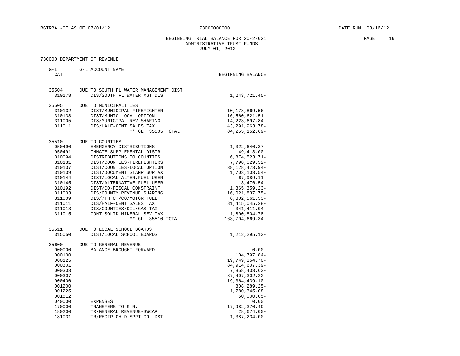BEGINNING TRIAL BALANCE FOR 20-2-021 PAGE 16 ADMINISTRATIVE TRUST FUNDS JULY 01, 2012

| $G-L$<br><b>CAT</b> | G-L ACCOUNT NAME                                       | BEGINNING BALANCE               |
|---------------------|--------------------------------------------------------|---------------------------------|
|                     |                                                        |                                 |
| 35504               | DUE TO SOUTH FL WATER MANAGEMENT DIST                  |                                 |
| 310178              | DIS/SOUTH FL WATER MGT DIS                             | 1,243,721.45-                   |
| 35505               | DUE TO MUNICIPALITIES                                  |                                 |
| 310132              | DIST/MUNICIPAL-FIREFIGHTER                             | 10, 178, 869. 56-               |
| 310138              | DIST/MUNIC-LOCAL OPTION                                | $16,560,621.51-$                |
| 311005              | DIS/MUNICIPAL REV SHARING                              | 14, 223, 697.84-                |
| 311011              | DIS/HALF-CENT SALES TAX                                | 43, 291, 963. 78-               |
|                     | $***$ GL<br>35505 TOTAL                                | 84, 255, 152.69-                |
| 35510               | DUE TO COUNTIES                                        |                                 |
| 050490              | EMERGENCY DISTRIBUTIONS                                | 1,322,640.37-                   |
| 050491              | INMATE SUPPLEMENTAL DISTR                              | 49, 413.00-                     |
| 310094              | DISTRIBUTIONS TO COUNTIES                              | $6,874,523.71-$                 |
| 310131              | DIST/COUNTIES-FIREFIGHTERS                             | $7,798,029.52-$                 |
| 310137              | DIST/COUNTIES-LOCAL OPTION                             | 38, 128, 473. 94-               |
| 310139              | DIST/DOCUMENT STAMP SURTAX                             | 1,703,103.54-                   |
| 310144              | DIST/LOCAL ALTER. FUEL USER                            | $67,989.11-$                    |
| 310145              | DIST/ALTERNATIVE FUEL USER                             | 13, 476.54-                     |
| 310192              | DIST/CO-FISCAL CONSTRAINT                              | $1,365,359.23-$                 |
| 311003              | DIS/COUNTY REVENUE SHARING                             | 16,021,837.75-                  |
| 311009              | DIS/7TH CT/CO/MOTOR FUEL                               | $6,802,561.53-$                 |
| 311011<br>311013    | DIS/HALF-CENT SALES TAX                                | 81, 415, 045. 28-               |
| 311015              | DIS/COUNTIES/OIL/GAS TAX<br>CONT SOLID MINERAL SEV TAX | 341, 411.04-<br>$1,800,804.78-$ |
|                     | $***$ GL<br>35510 TOTAL                                | 163,704,669.34-                 |
|                     |                                                        |                                 |
| 35511               | DUE TO LOCAL SCHOOL BOARDS                             |                                 |
| 315050              | DIST/LOCAL SCHOOL BOARDS                               | 1,212,295.13-                   |
| 35600               | DUE TO GENERAL REVENUE                                 |                                 |
| 000000              | BALANCE BROUGHT FORWARD                                | 0.00                            |
| 000100              |                                                        | 104,797.84-                     |
| 000125              |                                                        | 19,749,354.70-                  |
| 000301              |                                                        | 84, 914, 607.39-                |
| 000303              |                                                        | 7,858,433.63-                   |
| 000307              |                                                        | 87, 407, 302. 22-               |
| 000400              |                                                        | $19,364,439.10-$                |
| 001200              |                                                        | $808, 289.25 -$                 |
| 001225              |                                                        | 1,780,345.08-                   |
| 001512              |                                                        | $50,000.05 -$                   |
| 040000              | EXPENSES                                               | 0.00                            |
| 170000              | TRANSFERS TO G.R.                                      | 17,982,370.49-                  |
| 180200              | TR/GENERAL REVENUE-SWCAP                               | 28,674.00-                      |
| 181031              | TR/RECIP-CHLD SPPT COL-DST                             | 1,387,234.00-                   |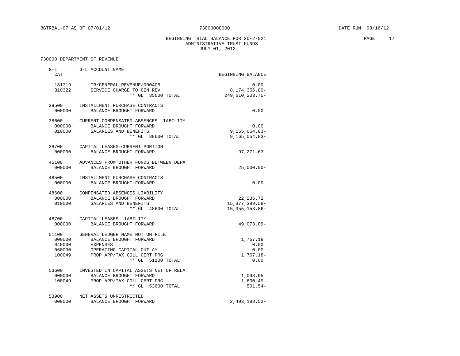BEGINNING TRIAL BALANCE FOR  $20-2-021$  PAGE 17 ADMINISTRATIVE TRUST FUNDS JULY 01, 2012

| CAT              | G-L G-L ACCOUNT NAME                                                                                                                                                             | BEGINNING BALANCE                                  |
|------------------|----------------------------------------------------------------------------------------------------------------------------------------------------------------------------------|----------------------------------------------------|
| 310322           | 181319 TR/GENERAL REVENUE/000405<br>SERVICE CHARGE TO GEN REV<br>** GL 35600 TOTAL                                                                                               | 0.00<br>$8,174,356.00 -$<br>249,610,203.75-        |
| 000000           | 38500 INSTALLMENT PURCHASE CONTRACTS<br>BALANCE BROUGHT FORWARD                                                                                                                  | 0.00                                               |
| 000000<br>010000 | 38600 CURRENT COMPENSATED ABSENCES LIABILITY<br>BALANCE BROUGHT FORWARD<br>SALARIES AND BENEFITS<br>** GL 38600 TOTAL                                                            | 0.00<br>$9, 165, 054.83 -$<br>$9, 165, 054.83 -$   |
| 000000           | 38700 CAPITAL LEASES-CURRENT PORTION<br>BALANCE BROUGHT FORWARD                                                                                                                  | $97, 271.63 -$                                     |
| 000000           | 45100 ADVANCES FROM OTHER FUNDS BETWEEN DEPA<br>BALANCE BROUGHT FORWARD                                                                                                          | $25,000.00 -$                                      |
| 48500<br>000000  | INSTALLMENT PURCHASE CONTRACTS<br>BALANCE BROUGHT FORWARD                                                                                                                        | 0.00                                               |
| 000000           | 48600 COMPENSATED ABSENCES LIABILITY<br>BALANCE BROUGHT FORWARD<br>010000 SALARIES AND BENEFITS<br>** GL 48600 TOTAL                                                             | 22, 235.72<br>15, 377, 389.58-<br>15, 355, 153.86- |
| 000000           | 48700 CAPITAL LEASES LIABILITY<br>BALANCE BROUGHT FORWARD                                                                                                                        | 49,073.09-                                         |
| 040000<br>060000 | 51100 GENERAL LEDGER NAME NOT ON FILE<br>000000 BALANCE BROUGHT FORWARD<br><b>EXPENSES</b><br>OPERATING CAPITAL OUTLAY<br>100049 PROP APP/TAX COLL CERT PRG<br>** GL 51100 TOTAL | 1,767.18<br>0.00<br>0.00<br>1,767.18-<br>0.00      |
| 000000<br>100049 | 53600 INVESTED IN CAPITAL ASSETS NET OF RELA<br>BALANCE BROUGHT FORWARD<br>PROP APP/TAX COLL CERT PRG<br>** GL 53600 TOTAL                                                       | 1,098.95<br>$1,600.49-$<br>$501.54-$               |
| 53900<br>000000  | NET ASSETS UNRESTRICTED<br>BALANCE BROUGHT FORWARD                                                                                                                               | 2,493,188.52-                                      |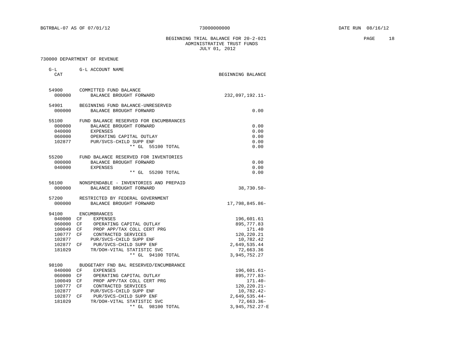BEGINNING TRIAL BALANCE FOR  $20-2-021$  PAGE 18 ADMINISTRATIVE TRUST FUNDS JULY 01, 2012

| G-L<br>CAT | G-L ACCOUNT NAME                       | BEGINNING BALANCE |
|------------|----------------------------------------|-------------------|
| 54900      | COMMITTED FUND BALANCE                 |                   |
| 000000     | BALANCE BROUGHT FORWARD                | 232,097,192.11-   |
| 54901      | BEGINNING FUND BALANCE-UNRESERVED      |                   |
| 000000     | BALANCE BROUGHT FORWARD                | 0.00              |
| 55100      | FUND BALANCE RESERVED FOR ENCUMBRANCES |                   |
| 000000     | BALANCE BROUGHT FORWARD                | 0.00              |
| 040000     | <b>EXPENSES</b>                        | 0.00              |
| 060000     | OPERATING CAPITAL OUTLAY               | 0.00              |
|            | 102877 PUR/SVCS-CHILD SUPP ENF         | 0.00              |
|            | ** GL 55100 TOTAL                      | 0.00              |
| 55200      | FUND BALANCE RESERVED FOR INVENTORIES  |                   |
| 000000     | BALANCE BROUGHT FORWARD                | 0.00              |
| 040000     | EXPENSES                               | 0.00              |
|            | ** GL 55200 TOTAL                      | 0.00              |
| 56100      | NONSPENDABLE - INVENTORIES AND PREPAID |                   |
| 000000     | BALANCE BROUGHT FORWARD                | $38,730.50 -$     |
| 57200      | RESTRICTED BY FEDERAL GOVERNMENT       |                   |
| 000000     | BALANCE BROUGHT FORWARD                | 17,798,845.86-    |
| 94100      | ENCUMBRANCES                           |                   |
| 040000 CF  | EXPENSES                               | 196,601.61        |
| 060000 CF  | OPERATING CAPITAL OUTLAY               | 895,777.83        |
| 100049 CF  | PROP APP/TAX COLL CERT PRG             | 171.40            |
| 100777 CF  | CONTRACTED SERVICES                    | 120,220.21        |
| 102877     | PUR/SVCS-CHILD SUPP ENF                | 10,782.42         |
| 102877 CF  | PUR/SVCS-CHILD SUPP ENF                | 2,649,535.44      |
| 181029     | TR/DOH-VITAL STATISTIC SVC             | 72,663.36         |
|            | ** GL 94100 TOTAL                      | 3,945,752.27      |
| 98100      | BUDGETARY FND BAL RESERVED/ENCUMBRANCE |                   |
| 040000     | CF<br>EXPENSES                         | $196,601.61-$     |
| 060000     | CF<br>OPERATING CAPITAL OUTLAY         | 895, 777.83-      |
| 100049 CF  | PROP APP/TAX COLL CERT PRG             | $171.40-$         |
| 100777 CF  | CONTRACTED SERVICES                    | $120, 220.21 -$   |
| 102877     | PUR/SVCS-CHILD SUPP ENF                | 10,782.42-        |
| 102877 CF  | PUR/SVCS-CHILD SUPP ENF                | 2,649,535.44-     |
| 181029     | TR/DOH-VITAL STATISTIC SVC             | $72,663.36 -$     |
|            | $**$ GL<br>98100 TOTAL                 | 3,945,752.27- E   |
|            |                                        |                   |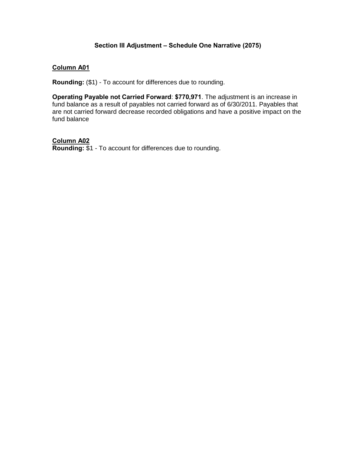## **Section III Adjustment – Schedule One Narrative (2075)**

## **Column A01**

**Rounding:** (\$1) - To account for differences due to rounding.

**Operating Payable not Carried Forward**: **\$770,971**. The adjustment is an increase in fund balance as a result of payables not carried forward as of 6/30/2011. Payables that are not carried forward decrease recorded obligations and have a positive impact on the fund balance

**Column A02**

**Rounding:** \$1 - To account for differences due to rounding.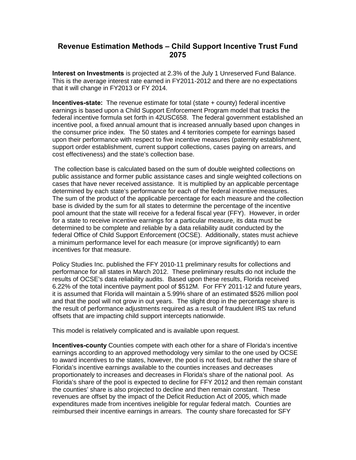## **Revenue Estimation Methods – Child Support Incentive Trust Fund 2075**

**Interest on Investments** is projected at 2.3% of the July 1 Unreserved Fund Balance. This is the average interest rate earned in FY2011-2012 and there are no expectations that it will change in FY2013 or FY 2014.

**Incentives-state:** The revenue estimate for total (state + county) federal incentive earnings is based upon a Child Support Enforcement Program model that tracks the federal incentive formula set forth in 42USC658. The federal government established an incentive pool, a fixed annual amount that is increased annually based upon changes in the consumer price index. The 50 states and 4 territories compete for earnings based upon their performance with respect to five incentive measures (paternity establishment, support order establishment, current support collections, cases paying on arrears, and cost effectiveness) and the state's collection base.

The collection base is calculated based on the sum of double weighted collections on public assistance and former public assistance cases and single weighted collections on cases that have never received assistance. It is multiplied by an applicable percentage determined by each state's performance for each of the federal incentive measures. The sum of the product of the applicable percentage for each measure and the collection base is divided by the sum for all states to determine the percentage of the incentive pool amount that the state will receive for a federal fiscal year (FFY). However, in order for a state to receive incentive earnings for a particular measure, its data must be determined to be complete and reliable by a data reliability audit conducted by the federal Office of Child Support Enforcement (OCSE). Additionally, states must achieve a minimum performance level for each measure (or improve significantly) to earn incentives for that measure.

Policy Studies Inc. published the FFY 2010-11 preliminary results for collections and performance for all states in March 2012. These preliminary results do not include the results of OCSE's data reliability audits. Based upon these results, Florida received 6.22% of the total incentive payment pool of \$512M. For FFY 2011-12 and future years, it is assumed that Florida will maintain a 5.99% share of an estimated \$526 million pool and that the pool will not grow in out years. The slight drop in the percentage share is the result of performance adjustments required as a result of fraudulent IRS tax refund offsets that are impacting child support intercepts nationwide.

This model is relatively complicated and is available upon request.

**Incentives-county** Counties compete with each other for a share of Florida's incentive earnings according to an approved methodology very similar to the one used by OCSE to award incentives to the states, however, the pool is not fixed, but rather the share of Florida's incentive earnings available to the counties increases and decreases proportionately to increases and decreases in Florida's share of the national pool. As Florida's share of the pool is expected to decline for FFY 2012 and then remain constant the counties' share is also projected to decline and then remain constant. These revenues are offset by the impact of the Deficit Reduction Act of 2005, which made expenditures made from incentives ineligible for regular federal match. Counties are reimbursed their incentive earnings in arrears. The county share forecasted for SFY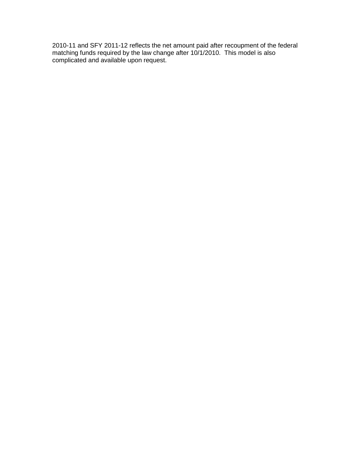2010-11 and SFY 2011-12 reflects the net amount paid after recoupment of the federal matching funds required by the law change after 10/1/2010. This model is also complicated and available upon request.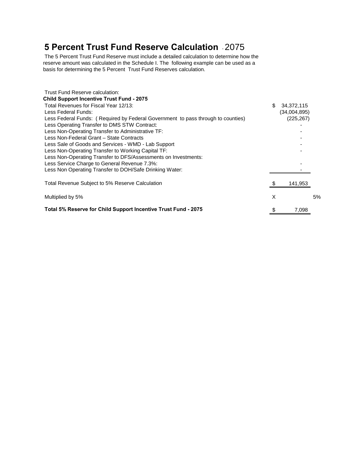# **5 Percent Trust Fund Reserve Calculation** - 2075

The 5 Percent Trust Fund Reserve must include a detailed calculation to determine how the reserve amount was calculated in the Schedule I. The following example can be used as a basis for determining the 5 Percent Trust Fund Reserves calculation.

| Trust Fund Reserve calculation:                                                  |    |              |    |
|----------------------------------------------------------------------------------|----|--------------|----|
| <b>Child Support Incentive Trust Fund - 2075</b>                                 |    |              |    |
| Total Revenues for Fiscal Year 12/13:                                            | \$ | 34,372,115   |    |
| Less Federal Funds:                                                              |    | (34,004,895) |    |
| Less Federal Funds: (Required by Federal Government to pass through to counties) |    | (225, 267)   |    |
| Less Operating Transfer to DMS STW Contract:                                     |    |              |    |
| Less Non-Operating Transfer to Administrative TF:                                |    |              |    |
| Less Non-Federal Grant - State Contracts                                         |    |              |    |
| Less Sale of Goods and Services - WMD - Lab Support                              |    |              |    |
| Less Non-Operating Transfer to Working Capital TF:                               |    |              |    |
| Less Non-Operating Transfer to DFS/Assessments on Investments:                   |    |              |    |
| Less Service Charge to General Revenue 7.3%:                                     |    |              |    |
| Less Non Operating Transfer to DOH/Safe Drinking Water:                          |    |              |    |
| Total Revenue Subject to 5% Reserve Calculation                                  |    | 141,953      |    |
| Multiplied by 5%                                                                 | X  |              | 5% |
| Total 5% Reserve for Child Support Incentive Trust Fund - 2075                   | \$ | 7,098        |    |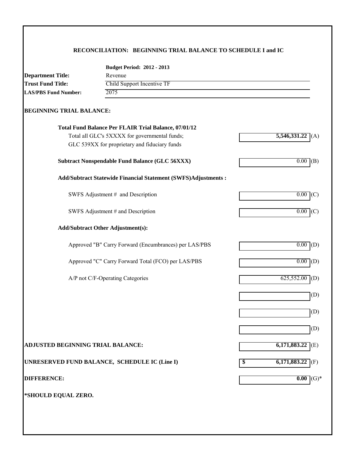## **RECONCILIATION: BEGINNING TRIAL BALANCE TO SCHEDULE I and IC**

|                                   | <b>Budget Period: 2012 - 2013</b>                              |                     |
|-----------------------------------|----------------------------------------------------------------|---------------------|
| <b>Department Title:</b>          | Revenue                                                        |                     |
| <b>Trust Fund Title:</b>          | Child Support Incentive TF<br>2075                             |                     |
| <b>LAS/PBS Fund Number:</b>       |                                                                |                     |
| <b>BEGINNING TRIAL BALANCE:</b>   |                                                                |                     |
|                                   | <b>Total Fund Balance Per FLAIR Trial Balance, 07/01/12</b>    |                     |
|                                   | Total all GLC's 5XXXX for governmental funds;                  | 5,546,331.22<br>(A) |
|                                   | GLC 539XX for proprietary and fiduciary funds                  |                     |
|                                   | <b>Subtract Nonspendable Fund Balance (GLC 56XXX)</b>          | $0.00$ (B)          |
|                                   | Add/Subtract Statewide Financial Statement (SWFS)Adjustments : |                     |
|                                   | SWFS Adjustment # and Description                              | $0.00$ (C)          |
|                                   | SWFS Adjustment # and Description                              | $0.00$ (C)          |
|                                   | <b>Add/Subtract Other Adjustment(s):</b>                       |                     |
|                                   | Approved "B" Carry Forward (Encumbrances) per LAS/PBS          | $0.00$ (D)          |
|                                   | Approved "C" Carry Forward Total (FCO) per LAS/PBS             | $0.00$ (D)          |
|                                   | A/P not C/F-Operating Categories                               | $625,552.00$ (D)    |
|                                   |                                                                |                     |
|                                   |                                                                |                     |
|                                   |                                                                |                     |
| ADJUSTED BEGINNING TRIAL BALANCE: |                                                                | 6,171,883.22        |
|                                   | UNRESERVED FUND BALANCE, SCHEDULE IC (Line I)                  | $6,171,883.22$ (F)  |
| <b>DIFFERENCE:</b>                |                                                                | 0.00                |
|                                   |                                                                |                     |
| *SHOULD EQUAL ZERO.               |                                                                |                     |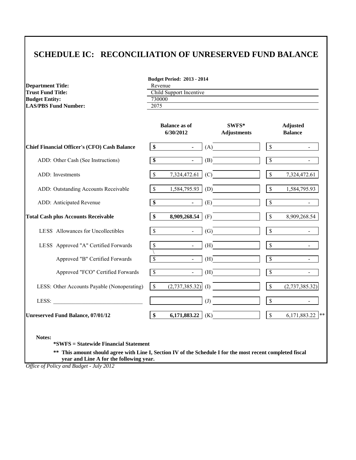## **SCHEDULE IC: RECONCILIATION OF UNRESERVED FUND BALANCE**

| <b>Department Title:</b>    | Reve  |
|-----------------------------|-------|
| Trust Fund Title:           | Chile |
| Budget Entity:              | 7300  |
| <b>LAS/PBS Fund Number:</b> | 2075  |

| <b>Budget Period: 2013 - 2014</b> |  |  |
|-----------------------------------|--|--|
|-----------------------------------|--|--|

Revenue **Child Support Incentive** 

 $\frac{730000}{2075}$ 

|                                                     |                          | <b>Balance as of</b><br>6/30/2012 | $SWFS*$<br><b>Adjustments</b> |                          | <b>Adjusted</b><br><b>Balance</b> |
|-----------------------------------------------------|--------------------------|-----------------------------------|-------------------------------|--------------------------|-----------------------------------|
| <b>Chief Financial Officer's (CFO) Cash Balance</b> | \$                       | $\blacksquare$                    | (A)                           | $\mathbb{S}$             |                                   |
| ADD: Other Cash (See Instructions)                  | \$                       | $\blacksquare$                    | (B)                           | $\overline{\mathcal{S}}$ |                                   |
| ADD: Investments                                    | $\mathbb{S}$             | 7,324,472.61                      | (C)                           | $\mathbb{S}$             | 7,324,472.61                      |
| ADD: Outstanding Accounts Receivable                | $\sqrt{3}$               | 1,584,795.93                      | (D)                           | $\mathbb{S}$             | 1,584,795.93                      |
| ADD: Anticipated Revenue                            | $\overline{\$}$          | $\blacksquare$                    | (E)                           | $\overline{\mathbb{S}}$  |                                   |
| <b>Total Cash plus Accounts Receivable</b>          | $\frac{1}{2}$            | 8,909,268.54                      | (F)                           | $\mathbb S$              | 8,909,268.54                      |
| LESS Allowances for Uncollectibles                  | $\sqrt{3}$               | $\blacksquare$                    | $\left( G\right)$             | $\mathbb{S}$             |                                   |
| LESS Approved "A" Certified Forwards                | $\mathcal{S}$            | $\blacksquare$                    | (H)                           | \$                       |                                   |
| Approved "B" Certified Forwards                     | $\overline{\mathcal{S}}$ | $\sim 10^{-1}$                    | (H)                           | $\overline{\mathcal{S}}$ |                                   |
| Approved "FCO" Certified Forwards                   | $\overline{\mathcal{S}}$ | $\sim$                            | (H)                           | \$                       |                                   |
| LESS: Other Accounts Payable (Nonoperating)         | $\mathcal{S}$            | (2,737,385.32)                    | (I)                           | $\mathbb S$              | (2,737,385.32)                    |
| LESS:                                               |                          |                                   | $\left( J\right)$             | $\mathsf{\$}$            |                                   |
| <b>Unreserved Fund Balance, 07/01/12</b>            | \$                       | 6,171,883.22                      | (K)                           | $\mathbb{S}$             | 6,171,883.22<br>$***$             |

**Notes:**

**\*SWFS = Statewide Financial Statement** 

**\*\* This amount should agree with Line I, Section IV of the Schedule I for the most recent completed fiscal year and Line A for the following year.**

*Office of Policy and Budget - July 2012*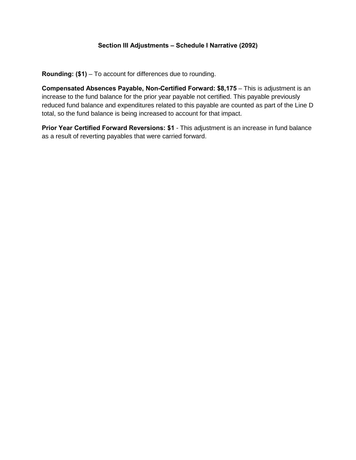## **Section III Adjustments – Schedule I Narrative (2092)**

**Rounding: (\$1)** – To account for differences due to rounding.

**Compensated Absences Payable, Non-Certified Forward: \$8,175** – This is adjustment is an increase to the fund balance for the prior year payable not certified. This payable previously reduced fund balance and expenditures related to this payable are counted as part of the Line D total, so the fund balance is being increased to account for that impact.

**Prior Year Certified Forward Reversions: \$1** - This adjustment is an increase in fund balance as a result of reverting payables that were carried forward.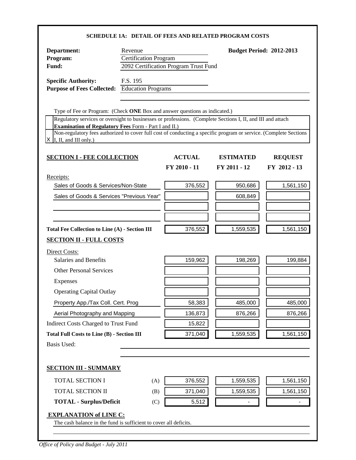|                                                                                                                                                                                   |                              |                                       | <b>SCHEDULE 1A: DETAIL OF FEES AND RELATED PROGRAM COSTS</b> |                                 |
|-----------------------------------------------------------------------------------------------------------------------------------------------------------------------------------|------------------------------|---------------------------------------|--------------------------------------------------------------|---------------------------------|
| Department:                                                                                                                                                                       | Revenue                      |                                       |                                                              | <b>Budget Period: 2012-2013</b> |
| Program:                                                                                                                                                                          | <b>Certification Program</b> |                                       |                                                              |                                 |
| Fund:                                                                                                                                                                             |                              | 2092 Certification Program Trust Fund |                                                              |                                 |
| <b>Specific Authority:</b>                                                                                                                                                        | F.S. 195                     |                                       |                                                              |                                 |
| <b>Purpose of Fees Collected:</b> Education Programs                                                                                                                              |                              |                                       |                                                              |                                 |
|                                                                                                                                                                                   |                              |                                       |                                                              |                                 |
| Type of Fee or Program: (Check ONE Box and answer questions as indicated.)                                                                                                        |                              |                                       |                                                              |                                 |
| Regulatory services or oversight to businesses or professions. (Complete Sections I, II, and III and attach                                                                       |                              |                                       |                                                              |                                 |
| <b>Examination of Regulatory Fees Form - Part I and II.)</b><br>Non-regulatory fees authorized to cover full cost of conducting a specific program or service. (Complete Sections |                              |                                       |                                                              |                                 |
| I, II, and III only.)                                                                                                                                                             |                              |                                       |                                                              |                                 |
| <b>SECTION I - FEE COLLECTION</b>                                                                                                                                                 |                              | <b>ACTUAL</b>                         | <b>ESTIMATED</b>                                             | <b>REQUEST</b>                  |
|                                                                                                                                                                                   |                              | FY 2010 - 11                          | FY 2011 - 12                                                 | FY 2012 - 13                    |
| Receipts:                                                                                                                                                                         |                              |                                       |                                                              |                                 |
| Sales of Goods & Services/Non-State                                                                                                                                               |                              | 376,552                               | 950,686                                                      | 1,561,150                       |
| Sales of Goods & Services "Previous Year"                                                                                                                                         |                              |                                       | 608,849                                                      |                                 |
|                                                                                                                                                                                   |                              |                                       |                                                              |                                 |
|                                                                                                                                                                                   |                              |                                       |                                                              |                                 |
| <b>Total Fee Collection to Line (A) - Section III</b>                                                                                                                             |                              | 376,552                               | 1,559,535                                                    | 1,561,150                       |
| <b>SECTION II - FULL COSTS</b>                                                                                                                                                    |                              |                                       |                                                              |                                 |
| Direct Costs:                                                                                                                                                                     |                              |                                       |                                                              |                                 |
| Salaries and Benefits                                                                                                                                                             |                              | 159,962                               | 198,269                                                      | 199,884                         |
| <b>Other Personal Services</b>                                                                                                                                                    |                              |                                       |                                                              |                                 |
| Expenses                                                                                                                                                                          |                              |                                       |                                                              |                                 |
| <b>Operating Capital Outlay</b>                                                                                                                                                   |                              |                                       |                                                              |                                 |
| Property App./Tax Coll. Cert. Prog                                                                                                                                                |                              | 58,383                                | 485,000                                                      | 485,000                         |
| Aerial Photography and Mapping                                                                                                                                                    |                              | 136,873                               | 876,266                                                      | 876,266                         |
| Indirect Costs Charged to Trust Fund                                                                                                                                              |                              | 15,822                                |                                                              |                                 |
| <b>Total Full Costs to Line (B) - Section III</b>                                                                                                                                 |                              | 371,040                               | 1,559,535                                                    | 1,561,150                       |
| <b>Basis Used:</b>                                                                                                                                                                |                              |                                       |                                                              |                                 |
|                                                                                                                                                                                   |                              |                                       |                                                              |                                 |
| <b>SECTION III - SUMMARY</b>                                                                                                                                                      |                              |                                       |                                                              |                                 |
| <b>TOTAL SECTION I</b>                                                                                                                                                            | (A)                          | 376,552                               | 1,559,535                                                    | 1,561,150                       |
| <b>TOTAL SECTION II</b><br>(B)                                                                                                                                                    |                              | 371,040                               | 1,559,535                                                    | 1,561,150                       |
| <b>TOTAL - Surplus/Deficit</b><br>(C)                                                                                                                                             |                              | 5,512                                 |                                                              |                                 |
| <b>EXPLANATION of LINE C:</b><br>The cash balance in the fund is sufficient to cover all deficits.                                                                                |                              |                                       |                                                              |                                 |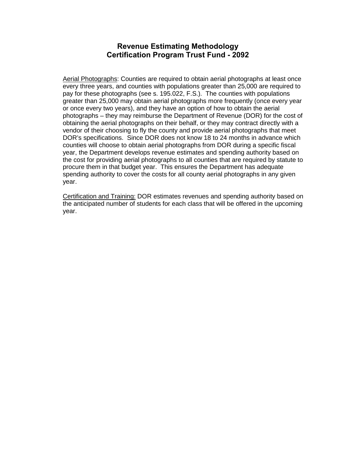## **Revenue Estimating Methodology Certification Program Trust Fund - 2092**

Aerial Photographs: Counties are required to obtain aerial photographs at least once every three years, and counties with populations greater than 25,000 are required to pay for these photographs (see s. 195.022, F.S.). The counties with populations greater than 25,000 may obtain aerial photographs more frequently (once every year or once every two years), and they have an option of how to obtain the aerial photographs – they may reimburse the Department of Revenue (DOR) for the cost of obtaining the aerial photographs on their behalf, or they may contract directly with a vendor of their choosing to fly the county and provide aerial photographs that meet DOR's specifications. Since DOR does not know 18 to 24 months in advance which counties will choose to obtain aerial photographs from DOR during a specific fiscal year, the Department develops revenue estimates and spending authority based on the cost for providing aerial photographs to all counties that are required by statute to procure them in that budget year. This ensures the Department has adequate spending authority to cover the costs for all county aerial photographs in any given year.

Certification and Training: DOR estimates revenues and spending authority based on the anticipated number of students for each class that will be offered in the upcoming year.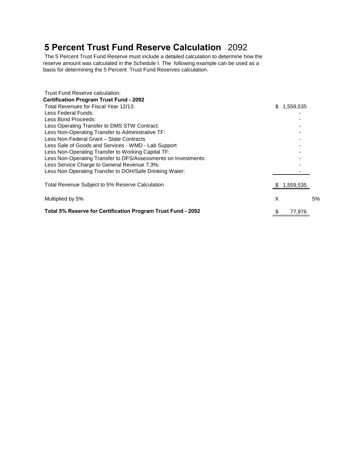# **5 Percent Trust Fund Reserve Calculation** - 2092

The 5 Percent Trust Fund Reserve must include a detailed calculation to determine how the reserve amount was calculated in the Schedule I. The following example can be used as a basis for determining the 5 Percent Trust Fund Reserves calculation.

| Trust Fund Reserve calculation:                                |     |           |    |
|----------------------------------------------------------------|-----|-----------|----|
| <b>Certification Program Trust Fund - 2092</b>                 |     |           |    |
| Total Revenues for Fiscal Year 12/13:                          | \$. | 1,559,535 |    |
| Less Federal Funds:                                            |     |           |    |
| Less Bond Proceeds:                                            |     |           |    |
| Less Operating Transfer to DMS STW Contract:                   |     |           |    |
| Less Non-Operating Transfer to Administrative TF:              |     |           |    |
| Less Non-Federal Grant - State Contracts                       |     |           |    |
| Less Sale of Goods and Services - WMD - Lab Support            |     |           |    |
| Less Non-Operating Transfer to Working Capital TF:             |     |           |    |
| Less Non-Operating Transfer to DFS/Assessments on Investments: |     |           |    |
| Less Service Charge to General Revenue 7.3%:                   |     |           |    |
| Less Non Operating Transfer to DOH/Safe Drinking Water:        |     |           |    |
| Total Revenue Subject to 5% Reserve Calculation                |     | 1,559,535 |    |
| Multiplied by 5%                                               | X   |           | 5% |
| Total 5% Reserve for Certification Program Trust Fund - 2092   | \$  | 77,976    |    |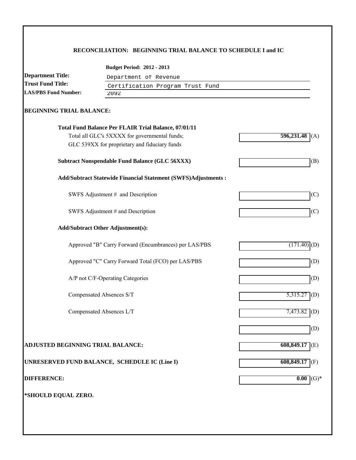## **RECONCILIATION: BEGINNING TRIAL BALANCE TO SCHEDULE I and IC**

| <b>Department Title:</b>          |                                                                      |                       |  |  |  |  |  |
|-----------------------------------|----------------------------------------------------------------------|-----------------------|--|--|--|--|--|
| <b>Trust Fund Title:</b>          |                                                                      | Department of Revenue |  |  |  |  |  |
| <b>LAS/PBS Fund Number:</b>       | Certification Program Trust Fund<br>2092                             |                       |  |  |  |  |  |
|                                   |                                                                      |                       |  |  |  |  |  |
| <b>BEGINNING TRIAL BALANCE:</b>   |                                                                      |                       |  |  |  |  |  |
|                                   | <b>Total Fund Balance Per FLAIR Trial Balance, 07/01/11</b>          |                       |  |  |  |  |  |
|                                   | Total all GLC's 5XXXX for governmental funds;                        | 596,231.48<br>(A)     |  |  |  |  |  |
|                                   | GLC 539XX for proprietary and fiduciary funds                        |                       |  |  |  |  |  |
|                                   | <b>Subtract Nonspendable Fund Balance (GLC 56XXX)</b>                | (B)                   |  |  |  |  |  |
|                                   | <b>Add/Subtract Statewide Financial Statement (SWFS)Adjustments:</b> |                       |  |  |  |  |  |
|                                   | SWFS Adjustment # and Description                                    | (C)                   |  |  |  |  |  |
|                                   | SWFS Adjustment # and Description                                    | (C)                   |  |  |  |  |  |
|                                   | <b>Add/Subtract Other Adjustment(s):</b>                             |                       |  |  |  |  |  |
|                                   | Approved "B" Carry Forward (Encumbrances) per LAS/PBS                | $(171.40)$ (D)        |  |  |  |  |  |
|                                   | Approved "C" Carry Forward Total (FCO) per LAS/PBS                   | (D)                   |  |  |  |  |  |
|                                   | A/P not C/F-Operating Categories                                     | (D)                   |  |  |  |  |  |
|                                   | Compensated Absences S/T                                             | $5,315.27$ (D)        |  |  |  |  |  |
|                                   | Compensated Absences L/T                                             | 7,473.82 (D)          |  |  |  |  |  |
|                                   |                                                                      | (D)                   |  |  |  |  |  |
| ADJUSTED BEGINNING TRIAL BALANCE: |                                                                      | 608,849.17<br>(E)     |  |  |  |  |  |
|                                   | UNRESERVED FUND BALANCE, SCHEDULE IC (Line I)                        | 608,849.17<br>(F)     |  |  |  |  |  |
| <b>DIFFERENCE:</b>                |                                                                      | $(G)*$<br>0.00        |  |  |  |  |  |
| *SHOULD EQUAL ZERO.               |                                                                      |                       |  |  |  |  |  |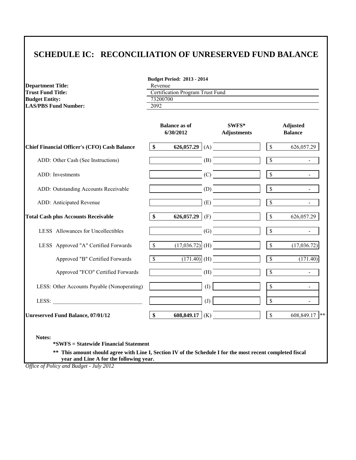# **SCHEDULE IC: RECONCILIATION OF UNRESERVED FUND BALANCE**

| <b>Department Title:</b>    | Reve  |
|-----------------------------|-------|
| Trust Fund Title:           | Certi |
| <b>Budget Entity:</b>       | 7320  |
| <b>LAS/PBS Fund Number:</b> | 2092  |

**Budget Period: 2013 - 2014** Revenue

**Certification Program Trust Fund** 

 $\frac{73200700}{2092}$ 

|                                                     |              | <b>Balance as of</b><br>6/30/2012 |     | SWFS*<br><b>Adjustments</b> |                          | <b>Adjusted</b><br><b>Balance</b> |
|-----------------------------------------------------|--------------|-----------------------------------|-----|-----------------------------|--------------------------|-----------------------------------|
| <b>Chief Financial Officer's (CFO) Cash Balance</b> | \$           |                                   |     | 626,057.29 (A)              | $\mathcal{S}$            | 626,057.29                        |
| ADD: Other Cash (See Instructions)                  |              |                                   | (B) |                             | $\overline{\mathcal{S}}$ |                                   |
| ADD: Investments                                    |              |                                   |     | (C)                         | $\mathbb S$              |                                   |
| ADD: Outstanding Accounts Receivable                |              |                                   |     | (D)                         | $\mathsf{\$}$            |                                   |
| ADD: Anticipated Revenue                            |              |                                   |     | (E)                         | $\sqrt{\frac{2}{5}}$     |                                   |
| <b>Total Cash plus Accounts Receivable</b>          | \$           |                                   |     | 626,057.29 (F)              | $\mathcal{S}$            | 626,057.29                        |
| LESS Allowances for Uncollectibles                  |              |                                   |     | (G)                         | $\mathbb{S}$             |                                   |
| LESS Approved "A" Certified Forwards                | $\mathbb{S}$ |                                   |     | $(17,036.72)$ (H)           | $\mathbb{S}$             | (17,036.72)                       |
| Approved "B" Certified Forwards                     | $\mathbb{S}$ |                                   |     | $(171.40)$ (H)              | $\overline{\mathcal{S}}$ | (171.40)                          |
| Approved "FCO" Certified Forwards                   |              |                                   |     | (H)                         | $\overline{\mathcal{S}}$ |                                   |
| LESS: Other Accounts Payable (Nonoperating)         |              |                                   | (I) |                             | $\mathcal{S}$            |                                   |
| LESS:                                               |              |                                   | (J) |                             | $\mathbb{S}$             | $\sim$                            |
| <b>Unreserved Fund Balance, 07/01/12</b>            | \$           | 608,849.17                        | (K) |                             | $\mathcal{S}$            | 608,849.17<br>$**$                |

**Notes:**

**\*SWFS = Statewide Financial Statement** 

**\*\* This amount should agree with Line I, Section IV of the Schedule I for the most recent completed fiscal year and Line A for the following year.**

*Office of Policy and Budget - July 2012*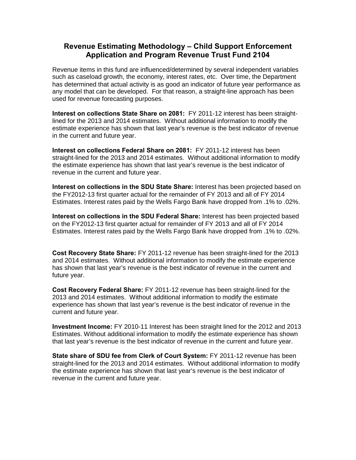## **Revenue Estimating Methodology – Child Support Enforcement Application and Program Revenue Trust Fund 2104**

Revenue items in this fund are influenced/determined by several independent variables such as caseload growth, the economy, interest rates, etc. Over time, the Department has determined that actual activity is as good an indicator of future year performance as any model that can be developed. For that reason, a straight-line approach has been used for revenue forecasting purposes.

**Interest on collections State Share on 2081:** FY 2011-12 interest has been straightlined for the 2013 and 2014 estimates. Without additional information to modify the estimate experience has shown that last year's revenue is the best indicator of revenue in the current and future year.

**Interest on collections Federal Share on 2081:** FY 2011-12 interest has been straight-lined for the 2013 and 2014 estimates. Without additional information to modify the estimate experience has shown that last year's revenue is the best indicator of revenue in the current and future year.

**Interest on collections in the SDU State Share:** Interest has been projected based on the FY2012-13 first quarter actual for the remainder of FY 2013 and all of FY 2014 Estimates. Interest rates paid by the Wells Fargo Bank have dropped from .1% to .02%.

**Interest on collections in the SDU Federal Share:** Interest has been projected based on the FY2012-13 first quarter actual for remainder of FY 2013 and all of FY 2014 Estimates. Interest rates paid by the Wells Fargo Bank have dropped from .1% to .02%.

**Cost Recovery State Share:** FY 2011-12 revenue has been straight-lined for the 2013 and 2014 estimates. Without additional information to modify the estimate experience has shown that last year's revenue is the best indicator of revenue in the current and future year.

**Cost Recovery Federal Share:** FY 2011-12 revenue has been straight-lined for the 2013 and 2014 estimates. Without additional information to modify the estimate experience has shown that last year's revenue is the best indicator of revenue in the current and future year.

**Investment Income:** FY 2010-11 Interest has been straight lined for the 2012 and 2013 Estimates. Without additional information to modify the estimate experience has shown that last year's revenue is the best indicator of revenue in the current and future year.

**State share of SDU fee from Clerk of Court System:** FY 2011-12 revenue has been straight-lined for the 2013 and 2014 estimates. Without additional information to modify the estimate experience has shown that last year's revenue is the best indicator of revenue in the current and future year.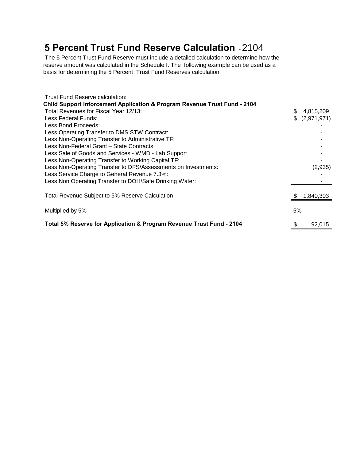# **5 Percent Trust Fund Reserve Calculation** - 2104

The 5 Percent Trust Fund Reserve must include a detailed calculation to determine how the reserve amount was calculated in the Schedule I. The following example can be used as a basis for determining the 5 Percent Trust Fund Reserves calculation.

| Trust Fund Reserve calculation:                                                      |    |                |
|--------------------------------------------------------------------------------------|----|----------------|
| <b>Child Support Inforcement Application &amp; Program Revenue Trust Fund - 2104</b> |    |                |
| Total Revenues for Fiscal Year 12/13:                                                |    | 4,815,209      |
| Less Federal Funds:                                                                  |    | \$ (2,971,971) |
| Less Bond Proceeds:                                                                  |    |                |
| Less Operating Transfer to DMS STW Contract:                                         |    |                |
| Less Non-Operating Transfer to Administrative TF:                                    |    |                |
| Less Non-Federal Grant – State Contracts                                             |    |                |
| Less Sale of Goods and Services - WMD - Lab Support                                  |    |                |
| Less Non-Operating Transfer to Working Capital TF:                                   |    |                |
| Less Non-Operating Transfer to DFS/Assessments on Investments:                       |    | (2,935)        |
| Less Service Charge to General Revenue 7.3%:                                         |    |                |
| Less Non Operating Transfer to DOH/Safe Drinking Water:                              |    |                |
| Total Revenue Subject to 5% Reserve Calculation                                      |    | 1,840,303      |
| Multiplied by 5%                                                                     | 5% |                |
| Total 5% Reserve for Application & Program Revenue Trust Fund - 2104                 |    | 92,015         |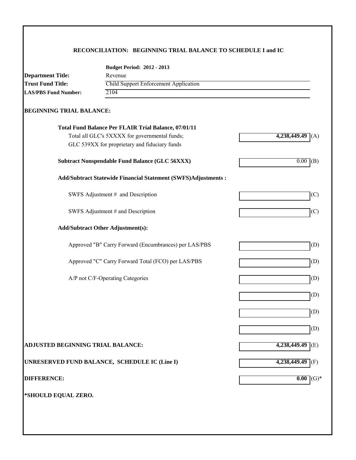## **RECONCILIATION: BEGINNING TRIAL BALANCE TO SCHEDULE I and IC**

|                                                                   | <b>Budget Period: 2012 - 2013</b>                              |                    |  |  |  |
|-------------------------------------------------------------------|----------------------------------------------------------------|--------------------|--|--|--|
| <b>Department Title:</b>                                          | Revenue                                                        |                    |  |  |  |
| <b>Trust Fund Title:</b><br>Child Support Enforcement Application |                                                                |                    |  |  |  |
| <b>LAS/PBS Fund Number:</b>                                       | 2104                                                           |                    |  |  |  |
| <b>BEGINNING TRIAL BALANCE:</b>                                   |                                                                |                    |  |  |  |
|                                                                   | Total Fund Balance Per FLAIR Trial Balance, 07/01/11           |                    |  |  |  |
|                                                                   | Total all GLC's 5XXXX for governmental funds;                  | 4,238,449.49       |  |  |  |
|                                                                   | GLC 539XX for proprietary and fiduciary funds                  |                    |  |  |  |
|                                                                   | <b>Subtract Nonspendable Fund Balance (GLC 56XXX)</b>          | 0.00<br>(B)        |  |  |  |
|                                                                   | Add/Subtract Statewide Financial Statement (SWFS)Adjustments : |                    |  |  |  |
|                                                                   | SWFS Adjustment # and Description                              | (C)                |  |  |  |
|                                                                   | SWFS Adjustment # and Description                              | (C)                |  |  |  |
|                                                                   | <b>Add/Subtract Other Adjustment(s):</b>                       |                    |  |  |  |
|                                                                   | Approved "B" Carry Forward (Encumbrances) per LAS/PBS          | (D)                |  |  |  |
|                                                                   | Approved "C" Carry Forward Total (FCO) per LAS/PBS             | (D)                |  |  |  |
|                                                                   | A/P not C/F-Operating Categories                               | (D)                |  |  |  |
|                                                                   |                                                                | (D)                |  |  |  |
|                                                                   |                                                                |                    |  |  |  |
|                                                                   |                                                                | (D)                |  |  |  |
|                                                                   |                                                                | (D)                |  |  |  |
| <b>ADJUSTED BEGINNING TRIAL BALANCE:</b>                          |                                                                | $4,238,449.49$ (E) |  |  |  |
|                                                                   | UNRESERVED FUND BALANCE, SCHEDULE IC (Line I)                  | $4,238,449.49$ (F) |  |  |  |
| <b>DIFFERENCE:</b>                                                |                                                                | 0.00<br>$(G)*$     |  |  |  |
|                                                                   |                                                                |                    |  |  |  |
| *SHOULD EQUAL ZERO.                                               |                                                                |                    |  |  |  |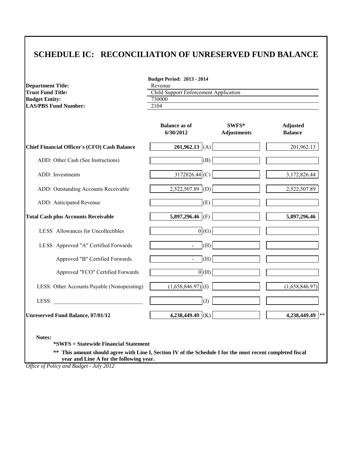# **SCHEDULE IC: RECONCILIATION OF UNRESERVED FUND BALANCE**

**Budget Period: 2013 - 2014**

| <b>Department Title:</b>                                                                                                                                                                                                       | Revenue                               |                             |                                   |  |  |  |  |
|--------------------------------------------------------------------------------------------------------------------------------------------------------------------------------------------------------------------------------|---------------------------------------|-----------------------------|-----------------------------------|--|--|--|--|
| <b>Trust Fund Title:</b>                                                                                                                                                                                                       | Child Support Enforcement Application |                             |                                   |  |  |  |  |
| <b>Budget Entity:</b><br><b>LAS/PBS Fund Number:</b>                                                                                                                                                                           | 730000<br>2104                        |                             |                                   |  |  |  |  |
|                                                                                                                                                                                                                                |                                       |                             |                                   |  |  |  |  |
|                                                                                                                                                                                                                                | <b>Balance as of</b><br>6/30/2012     | SWFS*<br><b>Adjustments</b> | <b>Adjusted</b><br><b>Balance</b> |  |  |  |  |
| <b>Chief Financial Officer's (CFO) Cash Balance</b>                                                                                                                                                                            | 201,962.13 (A)                        |                             | 201,962.13                        |  |  |  |  |
| ADD: Other Cash (See Instructions)                                                                                                                                                                                             | (B)                                   |                             |                                   |  |  |  |  |
| ADD: Investments                                                                                                                                                                                                               | 3172826.44 (C)                        |                             | 3,172,826.44                      |  |  |  |  |
| ADD: Outstanding Accounts Receivable                                                                                                                                                                                           | $2,522,507.89$ (D)                    |                             | 2,522,507.89                      |  |  |  |  |
| ADD: Anticipated Revenue                                                                                                                                                                                                       | (E)                                   |                             |                                   |  |  |  |  |
| <b>Total Cash plus Accounts Receivable</b>                                                                                                                                                                                     | 5,897,296.46 (F)                      |                             | 5,897,296.46                      |  |  |  |  |
| LESS Allowances for Uncollectibles                                                                                                                                                                                             | 0(G)                                  |                             |                                   |  |  |  |  |
| LESS Approved "A" Certified Forwards                                                                                                                                                                                           | (H)                                   |                             |                                   |  |  |  |  |
| Approved "B" Certified Forwards                                                                                                                                                                                                | (H)<br>$\blacksquare$                 |                             |                                   |  |  |  |  |
| Approved "FCO" Certified Forwards                                                                                                                                                                                              | 0(H)                                  |                             |                                   |  |  |  |  |
| LESS: Other Accounts Payable (Nonoperating)                                                                                                                                                                                    | $(1,658,846.97)$ <sup>(I)</sup>       |                             | (1,658,846.97)                    |  |  |  |  |
| LESS: The contract of the contract of the contract of the contract of the contract of the contract of the contract of the contract of the contract of the contract of the contract of the contract of the contract of the cont | $\overline{J}$                        |                             |                                   |  |  |  |  |
| <b>Unreserved Fund Balance, 07/01/12</b>                                                                                                                                                                                       | 4,238,449.49 (K)                      |                             | 4,238,449.49 **                   |  |  |  |  |

**Notes:**

**\*SWFS = Statewide Financial Statement** 

**\*\* This amount should agree with Line I, Section IV of the Schedule I for the most recent completed fiscal year and Line A for the following year.**

*Office of Policy and Budget - July 2012*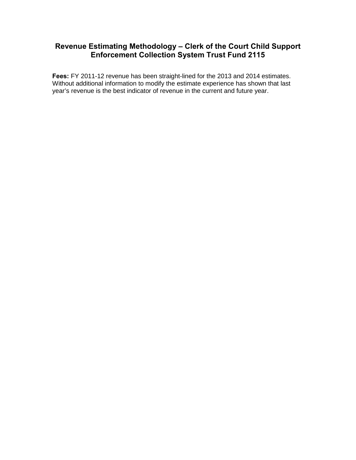## **Revenue Estimating Methodology – Clerk of the Court Child Support Enforcement Collection System Trust Fund 2115**

**Fees:** FY 2011-12 revenue has been straight-lined for the 2013 and 2014 estimates. Without additional information to modify the estimate experience has shown that last year's revenue is the best indicator of revenue in the current and future year.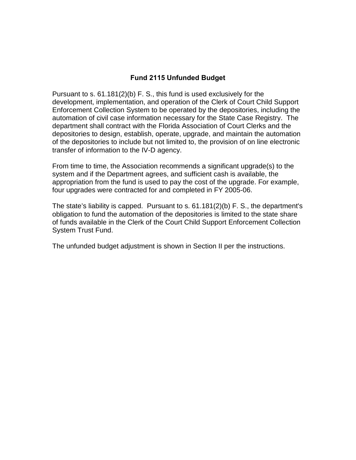## **Fund 2115 Unfunded Budget**

Pursuant to s. 61.181(2)(b) F. S., this fund is used exclusively for the development, implementation, and operation of the Clerk of Court Child Support Enforcement Collection System to be operated by the depositories, including the automation of civil case information necessary for the State Case Registry. The department shall contract with the Florida Association of Court Clerks and the depositories to design, establish, operate, upgrade, and maintain the automation of the depositories to include but not limited to, the provision of on line electronic transfer of information to the IV-D agency.

From time to time, the Association recommends a significant upgrade(s) to the system and if the Department agrees, and sufficient cash is available, the appropriation from the fund is used to pay the cost of the upgrade. For example, four upgrades were contracted for and completed in FY 2005-06.

The state's liability is capped. Pursuant to s. 61.181(2)(b) F. S., the department's obligation to fund the automation of the depositories is limited to the state share of funds available in the Clerk of the Court Child Support Enforcement Collection System Trust Fund.

The unfunded budget adjustment is shown in Section II per the instructions.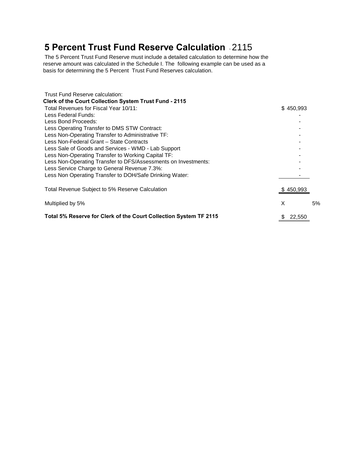# **5 Percent Trust Fund Reserve Calculation** - 2115

The 5 Percent Trust Fund Reserve must include a detailed calculation to determine how the reserve amount was calculated in the Schedule I. The following example can be used as a basis for determining the 5 Percent Trust Fund Reserves calculation.

| Trust Fund Reserve calculation:                                   |             |    |
|-------------------------------------------------------------------|-------------|----|
| Clerk of the Court Collection System Trust Fund - 2115            |             |    |
| Total Revenues for Fiscal Year 10/11:                             | \$450,993   |    |
| Less Federal Funds:                                               |             |    |
| Less Bond Proceeds:                                               |             |    |
| Less Operating Transfer to DMS STW Contract:                      |             |    |
| Less Non-Operating Transfer to Administrative TF:                 |             |    |
| Less Non-Federal Grant – State Contracts                          |             |    |
| Less Sale of Goods and Services - WMD - Lab Support               |             |    |
| Less Non-Operating Transfer to Working Capital TF:                |             |    |
| Less Non-Operating Transfer to DFS/Assessments on Investments:    |             |    |
| Less Service Charge to General Revenue 7.3%:                      |             |    |
| Less Non Operating Transfer to DOH/Safe Drinking Water:           |             |    |
| Total Revenue Subject to 5% Reserve Calculation                   | \$450,993   |    |
| Multiplied by 5%                                                  | X           | 5% |
| Total 5% Reserve for Clerk of the Court Collection System TF 2115 | 22,550<br>S |    |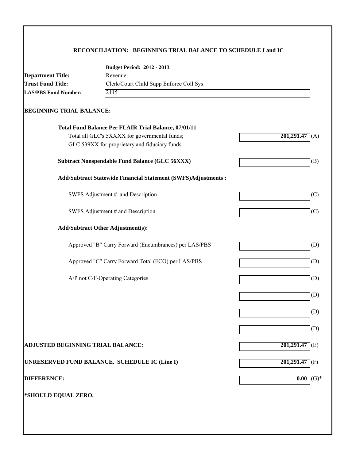## **RECONCILIATION: BEGINNING TRIAL BALANCE TO SCHEDULE I and IC**

|                                   | <b>Budget Period: 2012 - 2013</b>                              |                    |
|-----------------------------------|----------------------------------------------------------------|--------------------|
| <b>Department Title:</b>          | Revenue                                                        |                    |
| <b>Trust Fund Title:</b>          | Clerk/Court Child Supp Enforce Coll Sys                        |                    |
| <b>LAS/PBS Fund Number:</b>       | 2115                                                           |                    |
| <b>BEGINNING TRIAL BALANCE:</b>   |                                                                |                    |
|                                   | Total Fund Balance Per FLAIR Trial Balance, 07/01/11           |                    |
|                                   | Total all GLC's 5XXXX for governmental funds;                  | 201,291.47         |
|                                   | GLC 539XX for proprietary and fiduciary funds                  |                    |
|                                   | <b>Subtract Nonspendable Fund Balance (GLC 56XXX)</b>          | (B)                |
|                                   | Add/Subtract Statewide Financial Statement (SWFS)Adjustments : |                    |
|                                   | SWFS Adjustment # and Description                              | (C)                |
|                                   | SWFS Adjustment # and Description                              | (C)                |
|                                   | <b>Add/Subtract Other Adjustment(s):</b>                       |                    |
|                                   | Approved "B" Carry Forward (Encumbrances) per LAS/PBS          | (D)                |
|                                   | Approved "C" Carry Forward Total (FCO) per LAS/PBS             | (D)                |
|                                   | A/P not C/F-Operating Categories                               | (D)                |
|                                   |                                                                | (D)                |
|                                   |                                                                | (D)                |
|                                   |                                                                | (D)                |
|                                   |                                                                |                    |
| ADJUSTED BEGINNING TRIAL BALANCE: |                                                                | 201,291.47<br>E(E) |
|                                   | UNRESERVED FUND BALANCE, SCHEDULE IC (Line I)                  | $201,291.47$ (F)   |
| <b>DIFFERENCE:</b>                |                                                                | $(G)*$<br>0.00     |
| *SHOULD EQUAL ZERO.               |                                                                |                    |
|                                   |                                                                |                    |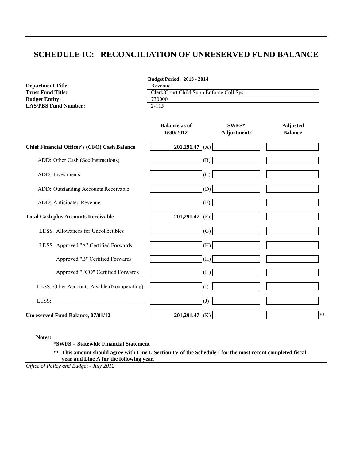# **SCHEDULE IC: RECONCILIATION OF UNRESERVED FUND BALANCE**

**Budget Period: 2013 - 2014**

| <b>Department Title:</b><br><b>Trust Fund Title:</b> | Revenue                                           |                             |                                   |  |  |  |
|------------------------------------------------------|---------------------------------------------------|-----------------------------|-----------------------------------|--|--|--|
| <b>Budget Entity:</b>                                | Clerk/Court Child Supp Enforce Coll Sys<br>730000 |                             |                                   |  |  |  |
| <b>LAS/PBS Fund Number:</b>                          | $2 - 115$                                         |                             |                                   |  |  |  |
|                                                      |                                                   |                             |                                   |  |  |  |
|                                                      | <b>Balance as of</b><br>6/30/2012                 | SWFS*<br><b>Adjustments</b> | <b>Adjusted</b><br><b>Balance</b> |  |  |  |
| <b>Chief Financial Officer's (CFO) Cash Balance</b>  | 201,291.47 $(A)$                                  |                             |                                   |  |  |  |
| ADD: Other Cash (See Instructions)                   | (B)                                               |                             |                                   |  |  |  |
| ADD: Investments                                     | (C)                                               |                             |                                   |  |  |  |
| ADD: Outstanding Accounts Receivable                 | (D)                                               |                             |                                   |  |  |  |
| ADD: Anticipated Revenue                             | (E)                                               |                             |                                   |  |  |  |
| <b>Total Cash plus Accounts Receivable</b>           | 201,291.47 (F)                                    |                             |                                   |  |  |  |
| LESS Allowances for Uncollectibles                   | (G)                                               |                             |                                   |  |  |  |
| LESS Approved "A" Certified Forwards                 | (H)                                               |                             |                                   |  |  |  |
| Approved "B" Certified Forwards                      | (H)                                               |                             |                                   |  |  |  |
| Approved "FCO" Certified Forwards                    | (H)                                               |                             |                                   |  |  |  |
| LESS: Other Accounts Payable (Nonoperating)          | (1)                                               |                             |                                   |  |  |  |
| LESS:                                                | (J)                                               |                             |                                   |  |  |  |
| <b>Unreserved Fund Balance, 07/01/12</b>             | 201,291.47 (K)                                    |                             |                                   |  |  |  |

**\*SWFS = Statewide Financial Statement** 

**\*\* This amount should agree with Line I, Section IV of the Schedule I for the most recent completed fiscal year and Line A for the following year.**

*Office of Policy and Budget - July 2012*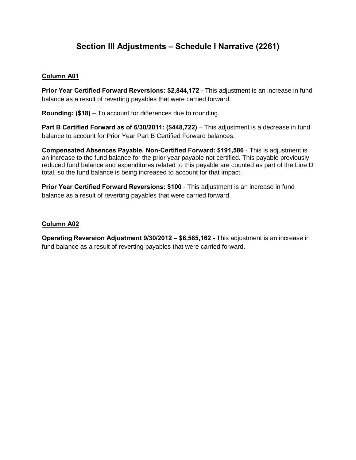# **Section III Adjustments – Schedule I Narrative (2261)**

## **Column A01**

**Prior Year Certified Forward Reversions: \$2,844,172** - This adjustment is an increase in fund balance as a result of reverting payables that were carried forward.

**Rounding: (\$18)** – To account for differences due to rounding.

**Part B Certified Forward as of 6/30/2011: (\$448,722)** – This adjustment is a decrease in fund balance to account for Prior Year Part B Certified Forward balances.

**Compensated Absences Payable, Non-Certified Forward: \$191,586** - This is adjustment is an increase to the fund balance for the prior year payable not certified. This payable previously reduced fund balance and expenditures related to this payable are counted as part of the Line D total, so the fund balance is being increased to account for that impact.

**Prior Year Certified Forward Reversions: \$100** - This adjustment is an increase in fund balance as a result of reverting payables that were carried forward.

## **Column A02**

**Operating Reversion Adjustment 9/30/2012 – \$6,565,162 -** This adjustment is an increase in fund balance as a result of reverting payables that were carried forward.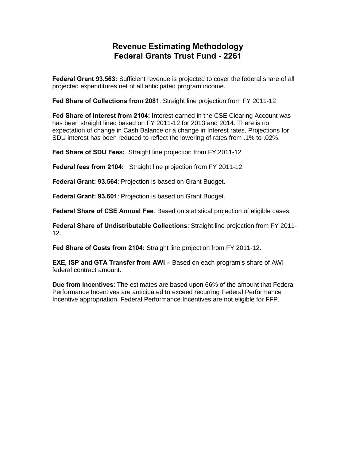# **Revenue Estimating Methodology Federal Grants Trust Fund - 2261**

**Federal Grant 93.563:** Sufficient revenue is projected to cover the federal share of all projected expenditures net of all anticipated program income.

**Fed Share of Collections from 2081**: Straight line projection from FY 2011-12

**Fed Share of Interest from 2104: I**nterest earned in the CSE Clearing Account was has been straight lined based on FY 2011-12 for 2013 and 2014. There is no expectation of change in Cash Balance or a change in Interest rates. Projections for SDU interest has been reduced to reflect the lowering of rates from .1% to .02%.

**Fed Share of SDU Fees:** Straight line projection from FY 2011-12

**Federal fees from 2104:** Straight line projection from FY 2011-12

**Federal Grant: 93.564**: Projection is based on Grant Budget.

**Federal Grant: 93.601**: Projection is based on Grant Budget.

**Federal Share of CSE Annual Fee**: Based on statistical projection of eligible cases.

**Federal Share of Undistributable Collections**: Straight line projection from FY 2011- 12.

**Fed Share of Costs from 2104:** Straight line projection from FY 2011-12.

**EXE, ISP and GTA Transfer from AWI –** Based on each program's share of AWI federal contract amount.

**Due from Incentives**: The estimates are based upon 66% of the amount that Federal Performance Incentives are anticipated to exceed recurring Federal Performance Incentive appropriation. Federal Performance Incentives are not eligible for FFP.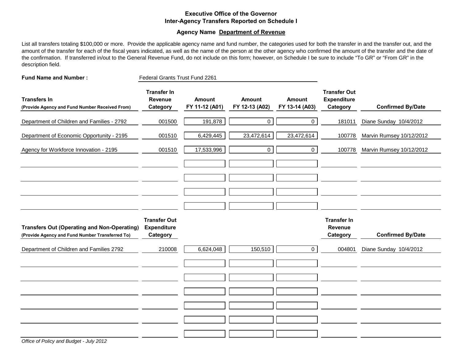### **Executive Office of the Governor Inter-Agency Transfers Reported on Schedule I**

### **Agency Name Department of Revenue**

List all transfers totaling \$100,000 or more. Provide the applicable agency name and fund number, the categories used for both the transfer in and the transfer out, and the amount of the transfer for each of the fiscal years indicated, as well as the name of the person at the other agency who confirmed the amount of the transfer and the date of the confirmation. If transferred in/out to the General Revenue Fund, do not include on this form; however, on Schedule I be sure to include "To GR" or "From GR" in the description field.

| <b>Fund Name and Number:</b>                                                                          | Federal Grants Trust Fund 2261                        |                                 |                                 |                                 |                                                       |                          |
|-------------------------------------------------------------------------------------------------------|-------------------------------------------------------|---------------------------------|---------------------------------|---------------------------------|-------------------------------------------------------|--------------------------|
| <b>Transfers In</b><br>(Provide Agency and Fund Number Received From)                                 | <b>Transfer In</b><br><b>Revenue</b><br>Category      | <b>Amount</b><br>FY 11-12 (A01) | <b>Amount</b><br>FY 12-13 (A02) | <b>Amount</b><br>FY 13-14 (A03) | <b>Transfer Out</b><br><b>Expenditure</b><br>Category | <b>Confirmed By/Date</b> |
| Department of Children and Families - 2792                                                            | 001500                                                | 191,878                         | $\overline{0}$                  | $\overline{0}$                  | 181011                                                | Diane Sunday 10/4/2012   |
| Department of Economic Opportunity - 2195                                                             | 001510                                                | 6,429,445                       | 23,472,614                      | 23,472,614                      | 100778                                                | Marvin Rumsey 10/12/2012 |
| Agency for Workforce Innovation - 2195                                                                | 001510                                                | 17,533,996                      | 0                               | $\mathbf 0$                     | 100778                                                | Marvin Rumsey 10/12/2012 |
|                                                                                                       |                                                       |                                 |                                 |                                 |                                                       |                          |
|                                                                                                       |                                                       |                                 |                                 |                                 |                                                       |                          |
|                                                                                                       |                                                       |                                 |                                 |                                 |                                                       |                          |
|                                                                                                       |                                                       |                                 |                                 |                                 |                                                       |                          |
| <b>Transfers Out (Operating and Non-Operating)</b><br>(Provide Agency and Fund Number Transferred To) | <b>Transfer Out</b><br><b>Expenditure</b><br>Category |                                 |                                 |                                 | <b>Transfer In</b><br>Revenue<br>Category             | <b>Confirmed By/Date</b> |
| Department of Children and Families 2792                                                              | 210008                                                | 6,624,048                       | 150,510                         | $\mathbf 0$                     | 004801                                                | Diane Sunday 10/4/2012   |
|                                                                                                       |                                                       |                                 |                                 |                                 |                                                       |                          |
|                                                                                                       |                                                       |                                 |                                 |                                 |                                                       |                          |
|                                                                                                       |                                                       |                                 |                                 |                                 |                                                       |                          |
|                                                                                                       |                                                       |                                 |                                 |                                 |                                                       |                          |
|                                                                                                       |                                                       |                                 |                                 |                                 |                                                       |                          |
|                                                                                                       |                                                       |                                 |                                 |                                 |                                                       |                          |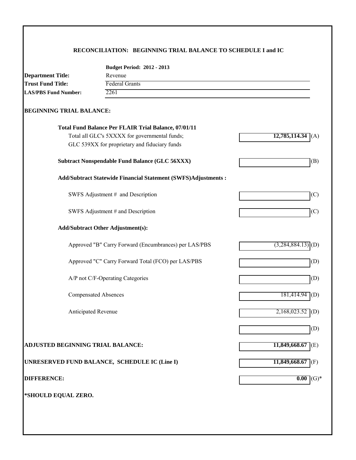## **RECONCILIATION: BEGINNING TRIAL BALANCE TO SCHEDULE I and IC**

|                                   | <b>Budget Period: 2012 - 2013</b>                              |                               |
|-----------------------------------|----------------------------------------------------------------|-------------------------------|
| <b>Department Title:</b>          | Revenue                                                        |                               |
| <b>Trust Fund Title:</b>          | <b>Federal Grants</b>                                          |                               |
| <b>LAS/PBS Fund Number:</b>       | 2261                                                           |                               |
| <b>BEGINNING TRIAL BALANCE:</b>   |                                                                |                               |
|                                   | Total Fund Balance Per FLAIR Trial Balance, 07/01/11           |                               |
|                                   | Total all GLC's 5XXXX for governmental funds;                  | $12,785,114.34$ (A)           |
|                                   | GLC 539XX for proprietary and fiduciary funds                  |                               |
|                                   | <b>Subtract Nonspendable Fund Balance (GLC 56XXX)</b>          | (B)                           |
|                                   | Add/Subtract Statewide Financial Statement (SWFS)Adjustments : |                               |
|                                   | SWFS Adjustment # and Description                              | (C)                           |
|                                   | SWFS Adjustment # and Description                              | (C)                           |
|                                   | <b>Add/Subtract Other Adjustment(s):</b>                       |                               |
|                                   | Approved "B" Carry Forward (Encumbrances) per LAS/PBS          | $(3,284,884.13)$ (D)          |
|                                   | Approved "C" Carry Forward Total (FCO) per LAS/PBS             | (D)                           |
|                                   | A/P not C/F-Operating Categories                               | (D)                           |
|                                   | <b>Compensated Absences</b>                                    | 181,414.94<br>$\vert$ (D)     |
| Anticipated Revenue               |                                                                | $2,168,023.52$ <sup>(D)</sup> |
|                                   |                                                                | (D)                           |
| ADJUSTED BEGINNING TRIAL BALANCE: |                                                                | $11,849,668.67$ (E)           |
|                                   | UNRESERVED FUND BALANCE, SCHEDULE IC (Line I)                  | $11,849,668.67$ (F)           |
| <b>DIFFERENCE:</b>                |                                                                | 0.00<br>$(G)*$                |
| *SHOULD EQUAL ZERO.               |                                                                |                               |
|                                   |                                                                |                               |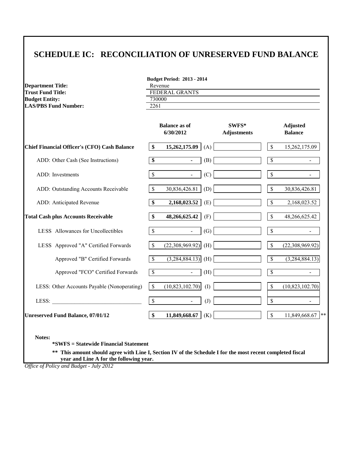# **SCHEDULE IC: RECONCILIATION OF UNRESERVED FUND BALANCE**

| <b>Department Title:</b><br><b>Trust Fund Title:</b> | <b>Budget Period: 2013 - 2014</b><br>Revenue<br><b>FEDERAL GRANTS</b> |                                   |                   |                             |                          |                                   |  |  |
|------------------------------------------------------|-----------------------------------------------------------------------|-----------------------------------|-------------------|-----------------------------|--------------------------|-----------------------------------|--|--|
| <b>Budget Entity:</b><br><b>LAS/PBS Fund Number:</b> |                                                                       | 730000<br>2261                    |                   |                             |                          |                                   |  |  |
|                                                      |                                                                       | <b>Balance as of</b><br>6/30/2012 |                   | SWFS*<br><b>Adjustments</b> |                          | <b>Adjusted</b><br><b>Balance</b> |  |  |
| Chief Financial Officer's (CFO) Cash Balance         | \$                                                                    | 15,262,175.09                     | (A)               |                             | $\mathbb{S}$             | 15,262,175.09                     |  |  |
| ADD: Other Cash (See Instructions)                   | \$                                                                    | $\blacksquare$                    | (B)               |                             | \$                       | $\blacksquare$                    |  |  |
| ADD: Investments                                     | \$                                                                    | $\blacksquare$                    | (C)               |                             | $\mathbb S$              | $\blacksquare$                    |  |  |
| ADD: Outstanding Accounts Receivable                 | \$                                                                    | 30,836,426.81                     | (D)               |                             | \$                       | 30,836,426.81                     |  |  |
| ADD: Anticipated Revenue                             | $\overline{\$}$                                                       | 2,168,023.52                      | (E)               |                             | $\overline{\mathcal{S}}$ | 2,168,023.52                      |  |  |
| <b>Total Cash plus Accounts Receivable</b>           | \$                                                                    | 48,266,625.42                     | (F)               |                             | \$                       | 48,266,625.42                     |  |  |
| LESS Allowances for Uncollectibles                   | \$                                                                    | $\omega$                          | (G)               |                             | \$                       |                                   |  |  |
| LESS Approved "A" Certified Forwards                 | \$                                                                    | (22,308,969.92)                   | (H)               |                             | \$                       | (22,308,969.92)                   |  |  |
| Approved "B" Certified Forwards                      | $\overline{\mathcal{S}}$                                              | $\overline{(3,284,884.13)}$ (H)   |                   |                             | $\overline{\mathcal{S}}$ | (3,284,884.13)                    |  |  |
| Approved "FCO" Certified Forwards                    | $\overline{\mathbb{S}}$                                               | $\blacksquare$                    | (H)               |                             | $\overline{\mathbb{S}}$  |                                   |  |  |
| LESS: Other Accounts Payable (Nonoperating)          | $\mathbf{\hat{S}}$                                                    | (10, 823, 102.70)                 | (1)               |                             | \$                       | (10, 823, 102.70)                 |  |  |
| LESS:                                                | \$                                                                    | $\blacksquare$                    | $\left( J\right)$ |                             | \$                       |                                   |  |  |
| <b>Unreserved Fund Balance, 07/01/12</b>             | \$                                                                    | 11,849,668.67                     | (K)               |                             | \$                       | $11,849,668.67$ **                |  |  |

**\*\* This amount should agree with Line I, Section IV of the Schedule I for the most recent completed fiscal year and Line A for the following year.**

*Office of Policy and Budget - July 2012*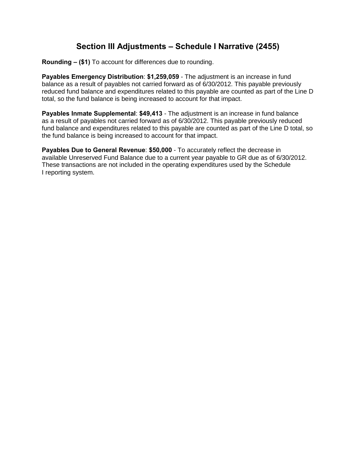# **Section III Adjustments – Schedule I Narrative (2455)**

**Rounding – (\$1)** To account for differences due to rounding.

**Payables Emergency Distribution**: **\$1,259,059** - The adjustment is an increase in fund balance as a result of payables not carried forward as of 6/30/2012. This payable previously reduced fund balance and expenditures related to this payable are counted as part of the Line D total, so the fund balance is being increased to account for that impact.

**Payables Inmate Supplemental**: **\$49,413** - The adjustment is an increase in fund balance as a result of payables not carried forward as of 6/30/2012. This payable previously reduced fund balance and expenditures related to this payable are counted as part of the Line D total, so the fund balance is being increased to account for that impact.

**Payables Due to General Revenue**: **\$50,000** - To accurately reflect the decrease in available Unreserved Fund Balance due to a current year payable to GR due as of 6/30/2012. These transactions are not included in the operating expenditures used by the Schedule I reporting system.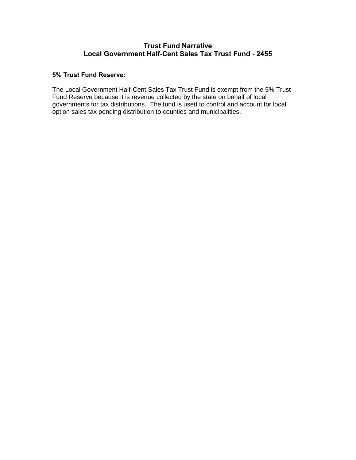## **Trust Fund Narrative Local Government Half-Cent Sales Tax Trust Fund - 2455**

## **5% Trust Fund Reserve:**

The Local Government Half-Cent Sales Tax Trust Fund is exempt from the 5% Trust Fund Reserve because it is revenue collected by the state on behalf of local governments for tax distributions. The fund is used to control and account for local option sales tax pending distribution to counties and municipalities.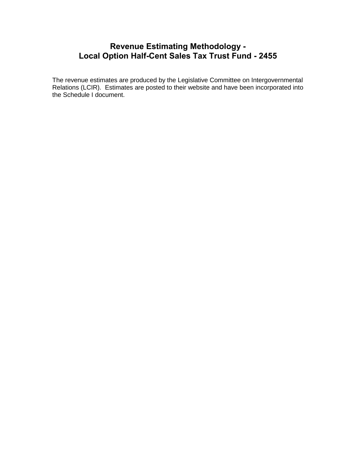# **Revenue Estimating Methodology - Local Option Half-Cent Sales Tax Trust Fund - 2455**

The revenue estimates are produced by the Legislative Committee on Intergovernmental Relations (LCIR). Estimates are posted to their website and have been incorporated into the Schedule I document.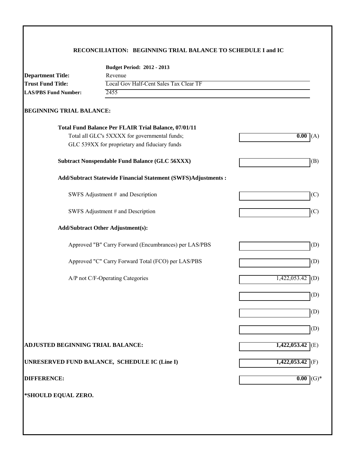## **RECONCILIATION: BEGINNING TRIAL BALANCE TO SCHEDULE I and IC**

|                                          | <b>Budget Period: 2012 - 2013</b>                                    |                     |  |  |
|------------------------------------------|----------------------------------------------------------------------|---------------------|--|--|
| <b>Department Title:</b>                 | Revenue<br>Local Gov Half-Cent Sales Tax Clear TF<br>2455            |                     |  |  |
| <b>Trust Fund Title:</b>                 |                                                                      |                     |  |  |
| <b>LAS/PBS Fund Number:</b>              |                                                                      |                     |  |  |
| <b>BEGINNING TRIAL BALANCE:</b>          |                                                                      |                     |  |  |
|                                          | Total Fund Balance Per FLAIR Trial Balance, 07/01/11                 |                     |  |  |
|                                          | Total all GLC's 5XXXX for governmental funds;                        | 0.00(A)             |  |  |
|                                          | GLC 539XX for proprietary and fiduciary funds                        |                     |  |  |
|                                          | <b>Subtract Nonspendable Fund Balance (GLC 56XXX)</b>                | (B)                 |  |  |
|                                          | <b>Add/Subtract Statewide Financial Statement (SWFS)Adjustments:</b> |                     |  |  |
|                                          | SWFS Adjustment # and Description                                    | (C)                 |  |  |
|                                          | SWFS Adjustment # and Description                                    | (C)                 |  |  |
|                                          | <b>Add/Subtract Other Adjustment(s):</b>                             |                     |  |  |
|                                          | Approved "B" Carry Forward (Encumbrances) per LAS/PBS                | (D)                 |  |  |
|                                          | Approved "C" Carry Forward Total (FCO) per LAS/PBS                   | (D)                 |  |  |
|                                          | A/P not C/F-Operating Categories                                     | (D)<br>1,422,053.42 |  |  |
|                                          |                                                                      | (D)                 |  |  |
|                                          |                                                                      | (D)                 |  |  |
|                                          |                                                                      | (D)                 |  |  |
| <b>ADJUSTED BEGINNING TRIAL BALANCE:</b> |                                                                      | $1,422,053.42$ (E)  |  |  |
|                                          | UNRESERVED FUND BALANCE, SCHEDULE IC (Line I)                        | $1,422,053.42$ (F)  |  |  |
| <b>DIFFERENCE:</b>                       |                                                                      | $(G)*$<br>0.00      |  |  |
| *SHOULD EQUAL ZERO.                      |                                                                      |                     |  |  |
|                                          |                                                                      |                     |  |  |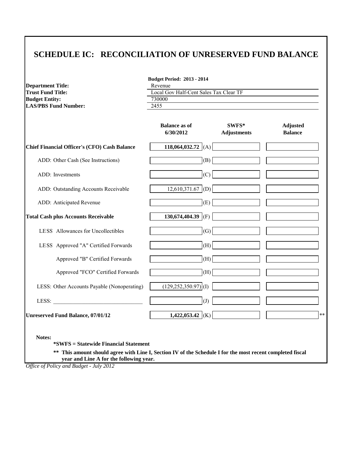# **SCHEDULE IC: RECONCILIATION OF UNRESERVED FUND BALANCE**

| <b>Department Title:</b>                            | <b>Budget Period: 2013 - 2014</b><br>Revenue |                             |                                   |  |  |  |
|-----------------------------------------------------|----------------------------------------------|-----------------------------|-----------------------------------|--|--|--|
| <b>Trust Fund Title:</b>                            | Local Gov Half-Cent Sales Tax Clear TF       |                             |                                   |  |  |  |
| <b>Budget Entity:</b>                               | 730000                                       |                             |                                   |  |  |  |
| <b>LAS/PBS Fund Number:</b>                         | $\overline{2455}$                            |                             |                                   |  |  |  |
|                                                     | <b>Balance as of</b><br>6/30/2012            | SWFS*<br><b>Adjustments</b> | <b>Adjusted</b><br><b>Balance</b> |  |  |  |
| <b>Chief Financial Officer's (CFO) Cash Balance</b> | 118,064,032.72 (A)                           |                             |                                   |  |  |  |
| ADD: Other Cash (See Instructions)                  | (B)                                          |                             |                                   |  |  |  |
| ADD: Investments                                    | (C)                                          |                             |                                   |  |  |  |
| ADD: Outstanding Accounts Receivable                | $12,610,371.67$ (D)                          |                             |                                   |  |  |  |
| ADD: Anticipated Revenue                            | (E)                                          |                             |                                   |  |  |  |
| <b>Total Cash plus Accounts Receivable</b>          | 130,674,404.39 (F)                           |                             |                                   |  |  |  |
| LESS Allowances for Uncollectibles                  | (G)                                          |                             |                                   |  |  |  |
| LESS Approved "A" Certified Forwards                | (H)                                          |                             |                                   |  |  |  |
| Approved "B" Certified Forwards                     | (H)                                          |                             |                                   |  |  |  |
| Approved "FCO" Certified Forwards                   | (H)                                          |                             |                                   |  |  |  |
| LESS: Other Accounts Payable (Nonoperating)         | $(129, 252, 350.97)$ <sup>(I)</sup>          |                             |                                   |  |  |  |
| LESS:                                               | $\overline{J}$                               |                             |                                   |  |  |  |
| <b>Unreserved Fund Balance, 07/01/12</b>            | 1,422,053.42 (K)                             |                             |                                   |  |  |  |

**\*SWFS = Statewide Financial Statement** 

**\*\* This amount should agree with Line I, Section IV of the Schedule I for the most recent completed fiscal year and Line A for the following year.**

*Office of Policy and Budget - July 2012*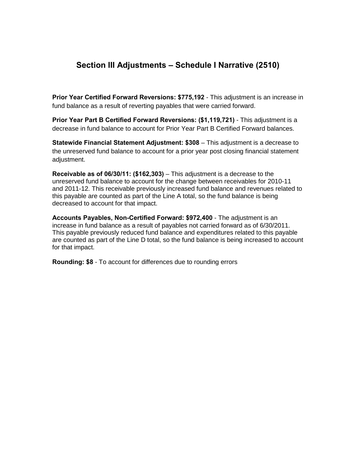# **Section III Adjustments – Schedule I Narrative (2510)**

**Prior Year Certified Forward Reversions: \$775,192** - This adjustment is an increase in fund balance as a result of reverting payables that were carried forward.

**Prior Year Part B Certified Forward Reversions: (\$1,119,721)** - This adjustment is a decrease in fund balance to account for Prior Year Part B Certified Forward balances.

**Statewide Financial Statement Adjustment: \$308** – This adjustment is a decrease to the unreserved fund balance to account for a prior year post closing financial statement adjustment.

**Receivable as of 06/30/11: (\$162,303)** – This adjustment is a decrease to the unreserved fund balance to account for the change between receivables for 2010-11 and 2011-12. This receivable previously increased fund balance and revenues related to this payable are counted as part of the Line A total, so the fund balance is being decreased to account for that impact.

**Accounts Payables, Non-Certified Forward: \$972,400** - The adjustment is an increase in fund balance as a result of payables not carried forward as of 6/30/2011. This payable previously reduced fund balance and expenditures related to this payable are counted as part of the Line D total, so the fund balance is being increased to account for that impact.

**Rounding: \$8** - To account for differences due to rounding errors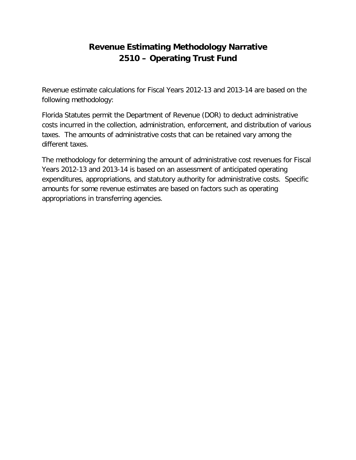# **Revenue Estimating Methodology Narrative 2510 – Operating Trust Fund**

Revenue estimate calculations for Fiscal Years 2012-13 and 2013-14 are based on the following methodology:

Florida Statutes permit the Department of Revenue (DOR) to deduct administrative costs incurred in the collection, administration, enforcement, and distribution of various taxes. The amounts of administrative costs that can be retained vary among the different taxes.

The methodology for determining the amount of administrative cost revenues for Fiscal Years 2012-13 and 2013-14 is based on an assessment of anticipated operating expenditures, appropriations, and statutory authority for administrative costs. Specific amounts for some revenue estimates are based on factors such as operating appropriations in transferring agencies.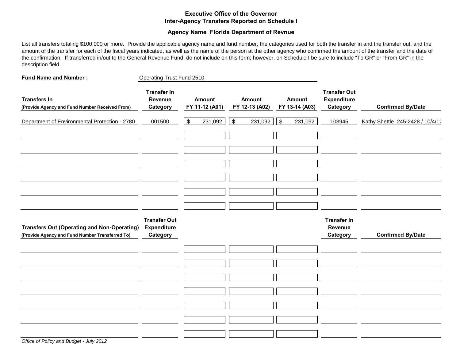## **Executive Office of the Governor Inter-Agency Transfers Reported on Schedule I**

### **Agency Name Florida Department of Revnue**

List all transfers totaling \$100,000 or more. Provide the applicable agency name and fund number, the categories used for both the transfer in and the transfer out, and the amount of the transfer for each of the fiscal years indicated, as well as the name of the person at the other agency who confirmed the amount of the transfer and the date of the confirmation. If transferred in/out to the General Revenue Fund, do not include on this form; however, on Schedule I be sure to include "To GR" or "From GR" in the description field.

| <b>Fund Name and Number:</b>                                                                          | <b>Operating Trust Fund 2510</b>                      |                                 |                                 |                                 |                                                       |                                  |
|-------------------------------------------------------------------------------------------------------|-------------------------------------------------------|---------------------------------|---------------------------------|---------------------------------|-------------------------------------------------------|----------------------------------|
| <b>Transfers In</b><br>(Provide Agency and Fund Number Received From)                                 | <b>Transfer In</b><br>Revenue<br>Category             | <b>Amount</b><br>FY 11-12 (A01) | <b>Amount</b><br>FY 12-13 (A02) | <b>Amount</b><br>FY 13-14 (A03) | <b>Transfer Out</b><br><b>Expenditure</b><br>Category | <b>Confirmed By/Date</b>         |
| Department of Environmental Protection - 2780                                                         | 001500                                                | 231,092<br>\$                   | $\sqrt{3}$<br>231,092           | $\sqrt{3}$<br>231,092           | 103945                                                | Kathy Shettle 245-2428 / 10/4/12 |
|                                                                                                       |                                                       |                                 |                                 |                                 |                                                       |                                  |
| <b>Transfers Out (Operating and Non-Operating)</b><br>(Provide Agency and Fund Number Transferred To) | <b>Transfer Out</b><br><b>Expenditure</b><br>Category |                                 |                                 |                                 | <b>Transfer In</b><br>Revenue<br>Category             | <b>Confirmed By/Date</b>         |
|                                                                                                       |                                                       |                                 |                                 |                                 |                                                       |                                  |
|                                                                                                       |                                                       |                                 |                                 |                                 |                                                       |                                  |
|                                                                                                       |                                                       |                                 |                                 |                                 |                                                       |                                  |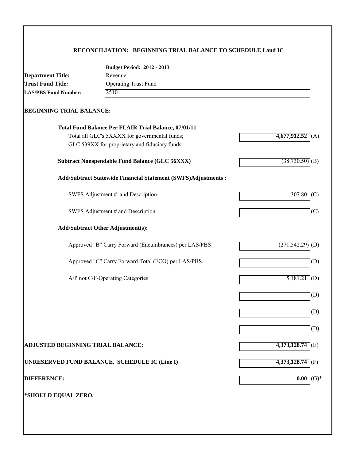## **RECONCILIATION: BEGINNING TRIAL BALANCE TO SCHEDULE I and IC**

|                                   | <b>Budget Period: 2012 - 2013</b>                              |                      |  |  |  |  |
|-----------------------------------|----------------------------------------------------------------|----------------------|--|--|--|--|
| <b>Department Title:</b>          | Revenue                                                        |                      |  |  |  |  |
| <b>Trust Fund Title:</b>          | <b>Operating Trust Fund</b>                                    |                      |  |  |  |  |
| <b>LAS/PBS Fund Number:</b>       | 2510                                                           |                      |  |  |  |  |
| <b>BEGINNING TRIAL BALANCE:</b>   |                                                                |                      |  |  |  |  |
|                                   | Total Fund Balance Per FLAIR Trial Balance, 07/01/11           |                      |  |  |  |  |
|                                   | Total all GLC's 5XXXX for governmental funds;                  | 4,677,912.52<br>(A)  |  |  |  |  |
|                                   | GLC 539XX for proprietary and fiduciary funds                  |                      |  |  |  |  |
|                                   | <b>Subtract Nonspendable Fund Balance (GLC 56XXX)</b>          | (38, 730.50)<br>(B)  |  |  |  |  |
|                                   | Add/Subtract Statewide Financial Statement (SWFS)Adjustments : |                      |  |  |  |  |
|                                   | SWFS Adjustment # and Description                              | 307.80<br>(C)        |  |  |  |  |
|                                   | SWFS Adjustment # and Description                              | (C)                  |  |  |  |  |
|                                   | <b>Add/Subtract Other Adjustment(s):</b>                       |                      |  |  |  |  |
|                                   | Approved "B" Carry Forward (Encumbrances) per LAS/PBS          | (271, 542.29)<br>(D) |  |  |  |  |
|                                   | Approved "C" Carry Forward Total (FCO) per LAS/PBS             | (D)                  |  |  |  |  |
|                                   | A/P not C/F-Operating Categories                               | 5,181.2<br>(D)       |  |  |  |  |
|                                   |                                                                | (D)                  |  |  |  |  |
|                                   |                                                                | (D)                  |  |  |  |  |
|                                   |                                                                | (D)                  |  |  |  |  |
| ADJUSTED BEGINNING TRIAL BALANCE: |                                                                | 4,373,128.74<br>(E)  |  |  |  |  |
|                                   | UNRESERVED FUND BALANCE, SCHEDULE IC (Line I)                  | 4,373,128.74<br>(F)  |  |  |  |  |
| <b>DIFFERENCE:</b>                |                                                                | 0.00<br>$(G)*$       |  |  |  |  |
| *SHOULD EQUAL ZERO.               |                                                                |                      |  |  |  |  |
|                                   |                                                                |                      |  |  |  |  |